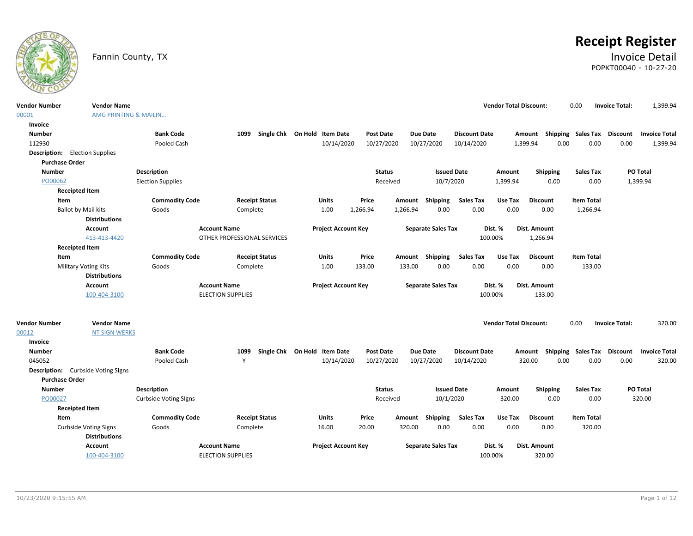

# **Receipt Register**

### Fannin County, TX **Invoice Detail** POPKT00040 - 10-27-20

| <b>Vendor Number</b>    | <b>Vendor Name</b>                                             |                                 |                             |                                            |                                |                               |                                    | <b>Vendor Total Discount:</b> |                            | 0.00                              | 1,399.94<br><b>Invoice Total:</b>                           |  |
|-------------------------|----------------------------------------------------------------|---------------------------------|-----------------------------|--------------------------------------------|--------------------------------|-------------------------------|------------------------------------|-------------------------------|----------------------------|-----------------------------------|-------------------------------------------------------------|--|
| 00001                   | <b>AMG PRINTING &amp; MAILIN</b>                               |                                 |                             |                                            |                                |                               |                                    |                               |                            |                                   |                                                             |  |
| Invoice                 |                                                                |                                 |                             |                                            |                                |                               |                                    |                               |                            |                                   |                                                             |  |
| <b>Number</b><br>112930 |                                                                | <b>Bank Code</b><br>Pooled Cash | 1099                        | Single Chk On Hold Item Date<br>10/14/2020 | <b>Post Date</b><br>10/27/2020 | <b>Due Date</b><br>10/27/2020 | <b>Discount Date</b><br>10/14/2020 |                               | Amount<br>1,399.94<br>0.00 | <b>Shipping Sales Tax</b><br>0.00 | <b>Discount</b><br><b>Invoice Total</b><br>0.00<br>1,399.94 |  |
|                         |                                                                |                                 |                             |                                            |                                |                               |                                    |                               |                            |                                   |                                                             |  |
|                         | <b>Description:</b> Election Supplies<br><b>Purchase Order</b> |                                 |                             |                                            |                                |                               |                                    |                               |                            |                                   |                                                             |  |
| <b>Number</b>           |                                                                | Description                     |                             |                                            | <b>Status</b>                  |                               | <b>Issued Date</b>                 | Amount                        | Shipping                   | <b>Sales Tax</b>                  | PO Total                                                    |  |
| PO00062                 |                                                                | <b>Election Supplies</b>        |                             |                                            | Received                       |                               | 10/7/2020                          | 1,399.94                      | 0.00                       | 0.00                              | 1,399.94                                                    |  |
|                         | <b>Receipted Item</b>                                          |                                 |                             |                                            |                                |                               |                                    |                               |                            |                                   |                                                             |  |
|                         | Item                                                           | <b>Commodity Code</b>           | <b>Receipt Status</b>       | <b>Units</b>                               | Price                          | Shipping<br>Amount            | <b>Sales Tax</b>                   | Use Tax                       | <b>Discount</b>            | <b>Item Total</b>                 |                                                             |  |
|                         | <b>Ballot by Mail kits</b>                                     | Goods                           | Complete                    | 1.00                                       | 1,266.94                       | 1,266.94<br>0.00              | 0.00                               | 0.00                          | 0.00                       | 1,266.94                          |                                                             |  |
|                         | <b>Distributions</b>                                           |                                 |                             |                                            |                                |                               |                                    |                               |                            |                                   |                                                             |  |
|                         | <b>Account</b>                                                 | <b>Account Name</b>             |                             | <b>Project Account Key</b>                 |                                | <b>Separate Sales Tax</b>     |                                    | Dist. %                       | Dist. Amount               |                                   |                                                             |  |
|                         | 413-413-4420                                                   |                                 | OTHER PROFESSIONAL SERVICES |                                            |                                |                               |                                    | 100.00%                       | 1,266.94                   |                                   |                                                             |  |
|                         | <b>Receipted Item</b>                                          |                                 |                             |                                            |                                |                               |                                    |                               |                            |                                   |                                                             |  |
|                         | Item                                                           | <b>Commodity Code</b>           | <b>Receipt Status</b>       | <b>Units</b>                               | Price                          | Amount Shipping               | <b>Sales Tax</b>                   | Use Tax                       | <b>Discount</b>            | <b>Item Total</b>                 |                                                             |  |
|                         | <b>Military Voting Kits</b>                                    | Goods                           | Complete                    | 1.00                                       | 133.00                         | 0.00<br>133.00                | 0.00                               | 0.00                          | 0.00                       | 133.00                            |                                                             |  |
|                         | <b>Distributions</b>                                           |                                 |                             |                                            |                                |                               |                                    |                               |                            |                                   |                                                             |  |
|                         | <b>Account</b>                                                 | <b>Account Name</b>             |                             | <b>Project Account Key</b>                 |                                | <b>Separate Sales Tax</b>     |                                    | Dist. %                       | Dist. Amount               |                                   |                                                             |  |
|                         |                                                                |                                 |                             |                                            |                                |                               |                                    | 100.00%                       | 133.00                     |                                   |                                                             |  |
|                         | 100-404-3100                                                   |                                 | <b>ELECTION SUPPLIES</b>    |                                            |                                |                               |                                    |                               |                            |                                   |                                                             |  |
|                         |                                                                |                                 |                             |                                            |                                |                               |                                    |                               |                            |                                   |                                                             |  |
| <b>Vendor Number</b>    | <b>Vendor Name</b>                                             |                                 |                             |                                            |                                |                               |                                    | <b>Vendor Total Discount:</b> |                            | 0.00                              | 320.00<br><b>Invoice Total:</b>                             |  |
| 00012                   | <b>NT SIGN WERKS</b>                                           |                                 |                             |                                            |                                |                               |                                    |                               |                            |                                   |                                                             |  |
| Invoice                 |                                                                |                                 |                             |                                            |                                |                               |                                    |                               |                            |                                   |                                                             |  |
| <b>Number</b>           |                                                                | <b>Bank Code</b>                | 1099                        | Single Chk On Hold Item Date               | <b>Post Date</b>               | <b>Due Date</b>               | <b>Discount Date</b>               |                               | Shipping<br>Amount         | <b>Sales Tax</b>                  | <b>Discount</b><br><b>Invoice Total</b>                     |  |
| 045052                  |                                                                | Pooled Cash                     | Y                           | 10/14/2020                                 | 10/27/2020                     | 10/27/2020                    | 10/14/2020                         |                               | 0.00<br>320.00             | 0.00                              | 0.00<br>320.00                                              |  |
|                         | <b>Description:</b> Curbside Voting SIgns                      |                                 |                             |                                            |                                |                               |                                    |                               |                            |                                   |                                                             |  |
|                         | <b>Purchase Order</b>                                          |                                 |                             |                                            |                                |                               |                                    |                               |                            |                                   |                                                             |  |
| Number                  |                                                                | <b>Description</b>              |                             |                                            | <b>Status</b>                  |                               | <b>Issued Date</b>                 | Amount                        | Shipping                   | <b>Sales Tax</b>                  | <b>PO Total</b>                                             |  |
| PO00027                 |                                                                | <b>Curbside Voting Signs</b>    |                             |                                            | Received                       |                               | 10/1/2020                          | 320.00                        | 0.00                       | 0.00                              | 320.00                                                      |  |
|                         | <b>Receipted Item</b>                                          |                                 |                             |                                            |                                |                               |                                    |                               |                            |                                   |                                                             |  |
|                         | Item                                                           | <b>Commodity Code</b>           | <b>Receipt Status</b>       | <b>Units</b>                               | Price                          | <b>Shipping</b><br>Amount     | <b>Sales Tax</b>                   | Use Tax                       | <b>Discount</b>            | <b>Item Total</b>                 |                                                             |  |
|                         | <b>Curbside Voting Signs</b>                                   | Goods                           | Complete                    | 16.00                                      | 20.00                          | 0.00<br>320.00                | 0.00                               | 0.00                          | 0.00                       | 320.00                            |                                                             |  |
|                         | <b>Distributions</b>                                           |                                 |                             |                                            |                                |                               |                                    |                               |                            |                                   |                                                             |  |
|                         | <b>Account</b><br>100-404-3100                                 | <b>Account Name</b>             | <b>ELECTION SUPPLIES</b>    | <b>Project Account Key</b>                 |                                | <b>Separate Sales Tax</b>     |                                    | Dist. %<br>100.00%            | Dist. Amount<br>320.00     |                                   |                                                             |  |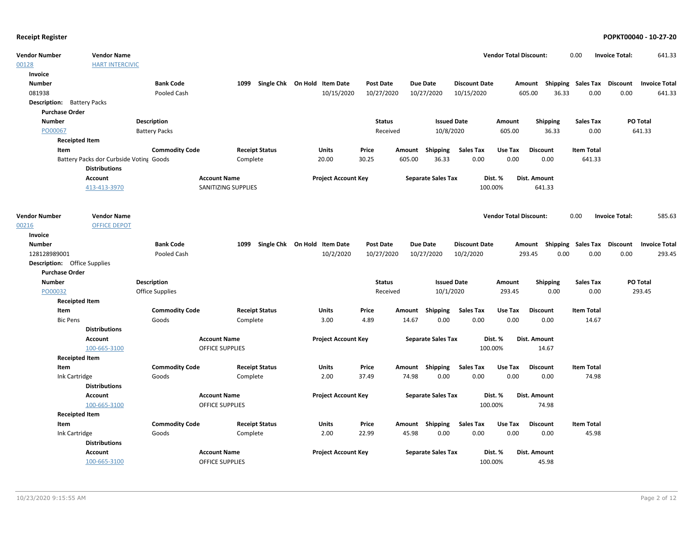| 00128<br><b>HART INTERCIVIC</b><br>Invoice<br><b>Bank Code</b><br>Single Chk On Hold Item Date<br><b>Due Date</b><br><b>Number</b><br>1099<br><b>Post Date</b><br><b>Discount Date</b><br>Shipping Sales Tax Discount<br><b>Invoice Total</b><br>Amount<br>081938<br>10/15/2020<br>10/27/2020<br>10/27/2020<br>605.00<br>36.33<br>0.00<br>Pooled Cash<br>10/15/2020<br>0.00<br>641.33<br><b>Description:</b> Battery Packs<br><b>Purchase Order</b><br><b>Number</b><br><b>Description</b><br><b>Status</b><br><b>Issued Date</b><br>PO Total<br>Amount<br>Shipping<br><b>Sales Tax</b><br>PO00067<br><b>Battery Packs</b><br>Received<br>10/8/2020<br>605.00<br>36.33<br>0.00<br>641.33<br><b>Receipted Item</b><br><b>Commodity Code</b><br>Item<br><b>Receipt Status</b><br><b>Units</b><br>Price<br>Shipping<br><b>Sales Tax</b><br>Use Tax<br><b>Discount</b><br><b>Item Total</b><br>Amount<br>30.25<br>0.00<br>0.00<br>Battery Packs dor Curbside Voting Goods<br>Complete<br>20.00<br>605.00<br>36.33<br>0.00<br>641.33<br><b>Distributions</b><br><b>Account</b><br><b>Account Name</b><br><b>Project Account Key</b><br><b>Separate Sales Tax</b><br><b>Dist. Amount</b><br>Dist. %<br>413-413-3970<br>SANITIZING SUPPLIES<br>100.00%<br>641.33<br><b>Vendor Number</b><br><b>Vendor Total Discount:</b><br>585.63<br><b>Vendor Name</b><br>0.00<br><b>Invoice Total:</b><br><b>OFFICE DEPOT</b><br>00216<br>Invoice<br><b>Number</b><br><b>Bank Code</b><br>1099 Single Chk On Hold Item Date<br><b>Post Date</b><br><b>Due Date</b><br>Amount Shipping Sales Tax Discount<br><b>Invoice Total</b><br><b>Discount Date</b><br>128128989001<br>10/2/2020<br>10/27/2020<br>10/27/2020<br>10/2/2020<br>293.45<br>Pooled Cash<br>293.45<br>0.00<br>0.00<br>0.00<br><b>Description:</b> Office Supplies<br><b>Purchase Order</b><br><b>PO Total</b><br><b>Number</b><br><b>Description</b><br><b>Status</b><br><b>Issued Date</b><br><b>Shipping</b><br><b>Sales Tax</b><br>Amount<br>PO00032<br>Office Supplies<br>10/1/2020<br>293.45<br>0.00<br>0.00<br>293.45<br>Received<br><b>Receipted Item</b><br><b>Commodity Code</b><br><b>Receipt Status</b><br>Units<br>Amount Shipping<br><b>Sales Tax</b><br><b>Discount</b><br><b>Item Total</b><br>Item<br>Price<br>Use Tax<br>0.00<br>0.00<br>14.67<br><b>Bic Pens</b><br>Goods<br>Complete<br>3.00<br>4.89<br>14.67<br>0.00<br>0.00<br><b>Distributions</b><br><b>Project Account Key</b><br>Account<br><b>Account Name</b><br><b>Separate Sales Tax</b><br>Dist. %<br>Dist. Amount<br>100-665-3100<br>100.00%<br><b>OFFICE SUPPLIES</b><br>14.67<br><b>Receipted Item</b><br><b>Commodity Code</b><br><b>Receipt Status</b><br><b>Units</b><br>Price<br>Amount Shipping<br><b>Sales Tax</b><br>Use Tax<br><b>Discount</b><br><b>Item Total</b><br>Item<br>2.00<br>74.98<br>0.00<br>0.00<br>0.00<br>74.98<br>Ink Cartridge<br>Goods<br>Complete<br>37.49<br>0.00<br><b>Distributions</b><br><b>Project Account Key</b><br><b>Account</b><br><b>Account Name</b><br><b>Separate Sales Tax</b><br>Dist. %<br>Dist. Amount<br>100-665-3100<br><b>OFFICE SUPPLIES</b><br>100.00%<br>74.98<br><b>Receipted Item</b><br><b>Commodity Code</b><br>Item<br><b>Receipt Status</b><br>Price<br>Amount Shipping<br>Sales Tax<br>Use Tax<br><b>Discount</b><br><b>Item Total</b><br>Units<br>2.00<br>22.99<br>45.98<br>0.00<br>0.00<br>0.00<br>0.00<br>45.98<br>Ink Cartridge<br>Goods<br>Complete<br><b>Distributions</b><br>Account<br><b>Account Name</b><br><b>Project Account Key</b><br><b>Separate Sales Tax</b><br><b>Dist. Amount</b><br>Dist. %<br>100-665-3100<br><b>OFFICE SUPPLIES</b><br>100.00%<br>45.98 | <b>Vendor Number</b> | <b>Vendor Name</b> |  |  |  |  |  | <b>Vendor Total Discount:</b> | 0.00 | <b>Invoice Total:</b> | 641.33 |
|----------------------------------------------------------------------------------------------------------------------------------------------------------------------------------------------------------------------------------------------------------------------------------------------------------------------------------------------------------------------------------------------------------------------------------------------------------------------------------------------------------------------------------------------------------------------------------------------------------------------------------------------------------------------------------------------------------------------------------------------------------------------------------------------------------------------------------------------------------------------------------------------------------------------------------------------------------------------------------------------------------------------------------------------------------------------------------------------------------------------------------------------------------------------------------------------------------------------------------------------------------------------------------------------------------------------------------------------------------------------------------------------------------------------------------------------------------------------------------------------------------------------------------------------------------------------------------------------------------------------------------------------------------------------------------------------------------------------------------------------------------------------------------------------------------------------------------------------------------------------------------------------------------------------------------------------------------------------------------------------------------------------------------------------------------------------------------------------------------------------------------------------------------------------------------------------------------------------------------------------------------------------------------------------------------------------------------------------------------------------------------------------------------------------------------------------------------------------------------------------------------------------------------------------------------------------------------------------------------------------------------------------------------------------------------------------------------------------------------------------------------------------------------------------------------------------------------------------------------------------------------------------------------------------------------------------------------------------------------------------------------------------------------------------------------------------------------------------------------------------------------------------------------------------------------------------------------------------------------------------------------------------------------------------------------------------------------------------------------------------------------------------------------------------------------------------------------------------------------------------------------------------------------------------------------------------------------------------------------------------------------------------------------------------|----------------------|--------------------|--|--|--|--|--|-------------------------------|------|-----------------------|--------|
|                                                                                                                                                                                                                                                                                                                                                                                                                                                                                                                                                                                                                                                                                                                                                                                                                                                                                                                                                                                                                                                                                                                                                                                                                                                                                                                                                                                                                                                                                                                                                                                                                                                                                                                                                                                                                                                                                                                                                                                                                                                                                                                                                                                                                                                                                                                                                                                                                                                                                                                                                                                                                                                                                                                                                                                                                                                                                                                                                                                                                                                                                                                                                                                                                                                                                                                                                                                                                                                                                                                                                                                                                                                                      |                      |                    |  |  |  |  |  |                               |      |                       |        |
|                                                                                                                                                                                                                                                                                                                                                                                                                                                                                                                                                                                                                                                                                                                                                                                                                                                                                                                                                                                                                                                                                                                                                                                                                                                                                                                                                                                                                                                                                                                                                                                                                                                                                                                                                                                                                                                                                                                                                                                                                                                                                                                                                                                                                                                                                                                                                                                                                                                                                                                                                                                                                                                                                                                                                                                                                                                                                                                                                                                                                                                                                                                                                                                                                                                                                                                                                                                                                                                                                                                                                                                                                                                                      |                      |                    |  |  |  |  |  |                               |      |                       |        |
|                                                                                                                                                                                                                                                                                                                                                                                                                                                                                                                                                                                                                                                                                                                                                                                                                                                                                                                                                                                                                                                                                                                                                                                                                                                                                                                                                                                                                                                                                                                                                                                                                                                                                                                                                                                                                                                                                                                                                                                                                                                                                                                                                                                                                                                                                                                                                                                                                                                                                                                                                                                                                                                                                                                                                                                                                                                                                                                                                                                                                                                                                                                                                                                                                                                                                                                                                                                                                                                                                                                                                                                                                                                                      |                      |                    |  |  |  |  |  |                               |      |                       |        |
|                                                                                                                                                                                                                                                                                                                                                                                                                                                                                                                                                                                                                                                                                                                                                                                                                                                                                                                                                                                                                                                                                                                                                                                                                                                                                                                                                                                                                                                                                                                                                                                                                                                                                                                                                                                                                                                                                                                                                                                                                                                                                                                                                                                                                                                                                                                                                                                                                                                                                                                                                                                                                                                                                                                                                                                                                                                                                                                                                                                                                                                                                                                                                                                                                                                                                                                                                                                                                                                                                                                                                                                                                                                                      |                      |                    |  |  |  |  |  |                               |      |                       |        |
|                                                                                                                                                                                                                                                                                                                                                                                                                                                                                                                                                                                                                                                                                                                                                                                                                                                                                                                                                                                                                                                                                                                                                                                                                                                                                                                                                                                                                                                                                                                                                                                                                                                                                                                                                                                                                                                                                                                                                                                                                                                                                                                                                                                                                                                                                                                                                                                                                                                                                                                                                                                                                                                                                                                                                                                                                                                                                                                                                                                                                                                                                                                                                                                                                                                                                                                                                                                                                                                                                                                                                                                                                                                                      |                      |                    |  |  |  |  |  |                               |      |                       |        |
|                                                                                                                                                                                                                                                                                                                                                                                                                                                                                                                                                                                                                                                                                                                                                                                                                                                                                                                                                                                                                                                                                                                                                                                                                                                                                                                                                                                                                                                                                                                                                                                                                                                                                                                                                                                                                                                                                                                                                                                                                                                                                                                                                                                                                                                                                                                                                                                                                                                                                                                                                                                                                                                                                                                                                                                                                                                                                                                                                                                                                                                                                                                                                                                                                                                                                                                                                                                                                                                                                                                                                                                                                                                                      |                      |                    |  |  |  |  |  |                               |      |                       |        |
|                                                                                                                                                                                                                                                                                                                                                                                                                                                                                                                                                                                                                                                                                                                                                                                                                                                                                                                                                                                                                                                                                                                                                                                                                                                                                                                                                                                                                                                                                                                                                                                                                                                                                                                                                                                                                                                                                                                                                                                                                                                                                                                                                                                                                                                                                                                                                                                                                                                                                                                                                                                                                                                                                                                                                                                                                                                                                                                                                                                                                                                                                                                                                                                                                                                                                                                                                                                                                                                                                                                                                                                                                                                                      |                      |                    |  |  |  |  |  |                               |      |                       |        |
|                                                                                                                                                                                                                                                                                                                                                                                                                                                                                                                                                                                                                                                                                                                                                                                                                                                                                                                                                                                                                                                                                                                                                                                                                                                                                                                                                                                                                                                                                                                                                                                                                                                                                                                                                                                                                                                                                                                                                                                                                                                                                                                                                                                                                                                                                                                                                                                                                                                                                                                                                                                                                                                                                                                                                                                                                                                                                                                                                                                                                                                                                                                                                                                                                                                                                                                                                                                                                                                                                                                                                                                                                                                                      |                      |                    |  |  |  |  |  |                               |      |                       |        |
|                                                                                                                                                                                                                                                                                                                                                                                                                                                                                                                                                                                                                                                                                                                                                                                                                                                                                                                                                                                                                                                                                                                                                                                                                                                                                                                                                                                                                                                                                                                                                                                                                                                                                                                                                                                                                                                                                                                                                                                                                                                                                                                                                                                                                                                                                                                                                                                                                                                                                                                                                                                                                                                                                                                                                                                                                                                                                                                                                                                                                                                                                                                                                                                                                                                                                                                                                                                                                                                                                                                                                                                                                                                                      |                      |                    |  |  |  |  |  |                               |      |                       |        |
|                                                                                                                                                                                                                                                                                                                                                                                                                                                                                                                                                                                                                                                                                                                                                                                                                                                                                                                                                                                                                                                                                                                                                                                                                                                                                                                                                                                                                                                                                                                                                                                                                                                                                                                                                                                                                                                                                                                                                                                                                                                                                                                                                                                                                                                                                                                                                                                                                                                                                                                                                                                                                                                                                                                                                                                                                                                                                                                                                                                                                                                                                                                                                                                                                                                                                                                                                                                                                                                                                                                                                                                                                                                                      |                      |                    |  |  |  |  |  |                               |      |                       |        |
|                                                                                                                                                                                                                                                                                                                                                                                                                                                                                                                                                                                                                                                                                                                                                                                                                                                                                                                                                                                                                                                                                                                                                                                                                                                                                                                                                                                                                                                                                                                                                                                                                                                                                                                                                                                                                                                                                                                                                                                                                                                                                                                                                                                                                                                                                                                                                                                                                                                                                                                                                                                                                                                                                                                                                                                                                                                                                                                                                                                                                                                                                                                                                                                                                                                                                                                                                                                                                                                                                                                                                                                                                                                                      |                      |                    |  |  |  |  |  |                               |      |                       |        |
|                                                                                                                                                                                                                                                                                                                                                                                                                                                                                                                                                                                                                                                                                                                                                                                                                                                                                                                                                                                                                                                                                                                                                                                                                                                                                                                                                                                                                                                                                                                                                                                                                                                                                                                                                                                                                                                                                                                                                                                                                                                                                                                                                                                                                                                                                                                                                                                                                                                                                                                                                                                                                                                                                                                                                                                                                                                                                                                                                                                                                                                                                                                                                                                                                                                                                                                                                                                                                                                                                                                                                                                                                                                                      |                      |                    |  |  |  |  |  |                               |      |                       |        |
|                                                                                                                                                                                                                                                                                                                                                                                                                                                                                                                                                                                                                                                                                                                                                                                                                                                                                                                                                                                                                                                                                                                                                                                                                                                                                                                                                                                                                                                                                                                                                                                                                                                                                                                                                                                                                                                                                                                                                                                                                                                                                                                                                                                                                                                                                                                                                                                                                                                                                                                                                                                                                                                                                                                                                                                                                                                                                                                                                                                                                                                                                                                                                                                                                                                                                                                                                                                                                                                                                                                                                                                                                                                                      |                      |                    |  |  |  |  |  |                               |      |                       |        |
|                                                                                                                                                                                                                                                                                                                                                                                                                                                                                                                                                                                                                                                                                                                                                                                                                                                                                                                                                                                                                                                                                                                                                                                                                                                                                                                                                                                                                                                                                                                                                                                                                                                                                                                                                                                                                                                                                                                                                                                                                                                                                                                                                                                                                                                                                                                                                                                                                                                                                                                                                                                                                                                                                                                                                                                                                                                                                                                                                                                                                                                                                                                                                                                                                                                                                                                                                                                                                                                                                                                                                                                                                                                                      |                      |                    |  |  |  |  |  |                               |      |                       |        |
|                                                                                                                                                                                                                                                                                                                                                                                                                                                                                                                                                                                                                                                                                                                                                                                                                                                                                                                                                                                                                                                                                                                                                                                                                                                                                                                                                                                                                                                                                                                                                                                                                                                                                                                                                                                                                                                                                                                                                                                                                                                                                                                                                                                                                                                                                                                                                                                                                                                                                                                                                                                                                                                                                                                                                                                                                                                                                                                                                                                                                                                                                                                                                                                                                                                                                                                                                                                                                                                                                                                                                                                                                                                                      |                      |                    |  |  |  |  |  |                               |      |                       |        |
|                                                                                                                                                                                                                                                                                                                                                                                                                                                                                                                                                                                                                                                                                                                                                                                                                                                                                                                                                                                                                                                                                                                                                                                                                                                                                                                                                                                                                                                                                                                                                                                                                                                                                                                                                                                                                                                                                                                                                                                                                                                                                                                                                                                                                                                                                                                                                                                                                                                                                                                                                                                                                                                                                                                                                                                                                                                                                                                                                                                                                                                                                                                                                                                                                                                                                                                                                                                                                                                                                                                                                                                                                                                                      |                      |                    |  |  |  |  |  |                               |      |                       |        |
|                                                                                                                                                                                                                                                                                                                                                                                                                                                                                                                                                                                                                                                                                                                                                                                                                                                                                                                                                                                                                                                                                                                                                                                                                                                                                                                                                                                                                                                                                                                                                                                                                                                                                                                                                                                                                                                                                                                                                                                                                                                                                                                                                                                                                                                                                                                                                                                                                                                                                                                                                                                                                                                                                                                                                                                                                                                                                                                                                                                                                                                                                                                                                                                                                                                                                                                                                                                                                                                                                                                                                                                                                                                                      |                      |                    |  |  |  |  |  |                               |      |                       |        |
|                                                                                                                                                                                                                                                                                                                                                                                                                                                                                                                                                                                                                                                                                                                                                                                                                                                                                                                                                                                                                                                                                                                                                                                                                                                                                                                                                                                                                                                                                                                                                                                                                                                                                                                                                                                                                                                                                                                                                                                                                                                                                                                                                                                                                                                                                                                                                                                                                                                                                                                                                                                                                                                                                                                                                                                                                                                                                                                                                                                                                                                                                                                                                                                                                                                                                                                                                                                                                                                                                                                                                                                                                                                                      |                      |                    |  |  |  |  |  |                               |      |                       |        |
|                                                                                                                                                                                                                                                                                                                                                                                                                                                                                                                                                                                                                                                                                                                                                                                                                                                                                                                                                                                                                                                                                                                                                                                                                                                                                                                                                                                                                                                                                                                                                                                                                                                                                                                                                                                                                                                                                                                                                                                                                                                                                                                                                                                                                                                                                                                                                                                                                                                                                                                                                                                                                                                                                                                                                                                                                                                                                                                                                                                                                                                                                                                                                                                                                                                                                                                                                                                                                                                                                                                                                                                                                                                                      |                      |                    |  |  |  |  |  |                               |      |                       |        |
|                                                                                                                                                                                                                                                                                                                                                                                                                                                                                                                                                                                                                                                                                                                                                                                                                                                                                                                                                                                                                                                                                                                                                                                                                                                                                                                                                                                                                                                                                                                                                                                                                                                                                                                                                                                                                                                                                                                                                                                                                                                                                                                                                                                                                                                                                                                                                                                                                                                                                                                                                                                                                                                                                                                                                                                                                                                                                                                                                                                                                                                                                                                                                                                                                                                                                                                                                                                                                                                                                                                                                                                                                                                                      |                      |                    |  |  |  |  |  |                               |      |                       |        |
|                                                                                                                                                                                                                                                                                                                                                                                                                                                                                                                                                                                                                                                                                                                                                                                                                                                                                                                                                                                                                                                                                                                                                                                                                                                                                                                                                                                                                                                                                                                                                                                                                                                                                                                                                                                                                                                                                                                                                                                                                                                                                                                                                                                                                                                                                                                                                                                                                                                                                                                                                                                                                                                                                                                                                                                                                                                                                                                                                                                                                                                                                                                                                                                                                                                                                                                                                                                                                                                                                                                                                                                                                                                                      |                      |                    |  |  |  |  |  |                               |      |                       |        |
|                                                                                                                                                                                                                                                                                                                                                                                                                                                                                                                                                                                                                                                                                                                                                                                                                                                                                                                                                                                                                                                                                                                                                                                                                                                                                                                                                                                                                                                                                                                                                                                                                                                                                                                                                                                                                                                                                                                                                                                                                                                                                                                                                                                                                                                                                                                                                                                                                                                                                                                                                                                                                                                                                                                                                                                                                                                                                                                                                                                                                                                                                                                                                                                                                                                                                                                                                                                                                                                                                                                                                                                                                                                                      |                      |                    |  |  |  |  |  |                               |      |                       |        |
|                                                                                                                                                                                                                                                                                                                                                                                                                                                                                                                                                                                                                                                                                                                                                                                                                                                                                                                                                                                                                                                                                                                                                                                                                                                                                                                                                                                                                                                                                                                                                                                                                                                                                                                                                                                                                                                                                                                                                                                                                                                                                                                                                                                                                                                                                                                                                                                                                                                                                                                                                                                                                                                                                                                                                                                                                                                                                                                                                                                                                                                                                                                                                                                                                                                                                                                                                                                                                                                                                                                                                                                                                                                                      |                      |                    |  |  |  |  |  |                               |      |                       |        |
|                                                                                                                                                                                                                                                                                                                                                                                                                                                                                                                                                                                                                                                                                                                                                                                                                                                                                                                                                                                                                                                                                                                                                                                                                                                                                                                                                                                                                                                                                                                                                                                                                                                                                                                                                                                                                                                                                                                                                                                                                                                                                                                                                                                                                                                                                                                                                                                                                                                                                                                                                                                                                                                                                                                                                                                                                                                                                                                                                                                                                                                                                                                                                                                                                                                                                                                                                                                                                                                                                                                                                                                                                                                                      |                      |                    |  |  |  |  |  |                               |      |                       |        |
|                                                                                                                                                                                                                                                                                                                                                                                                                                                                                                                                                                                                                                                                                                                                                                                                                                                                                                                                                                                                                                                                                                                                                                                                                                                                                                                                                                                                                                                                                                                                                                                                                                                                                                                                                                                                                                                                                                                                                                                                                                                                                                                                                                                                                                                                                                                                                                                                                                                                                                                                                                                                                                                                                                                                                                                                                                                                                                                                                                                                                                                                                                                                                                                                                                                                                                                                                                                                                                                                                                                                                                                                                                                                      |                      |                    |  |  |  |  |  |                               |      |                       |        |
|                                                                                                                                                                                                                                                                                                                                                                                                                                                                                                                                                                                                                                                                                                                                                                                                                                                                                                                                                                                                                                                                                                                                                                                                                                                                                                                                                                                                                                                                                                                                                                                                                                                                                                                                                                                                                                                                                                                                                                                                                                                                                                                                                                                                                                                                                                                                                                                                                                                                                                                                                                                                                                                                                                                                                                                                                                                                                                                                                                                                                                                                                                                                                                                                                                                                                                                                                                                                                                                                                                                                                                                                                                                                      |                      |                    |  |  |  |  |  |                               |      |                       |        |
|                                                                                                                                                                                                                                                                                                                                                                                                                                                                                                                                                                                                                                                                                                                                                                                                                                                                                                                                                                                                                                                                                                                                                                                                                                                                                                                                                                                                                                                                                                                                                                                                                                                                                                                                                                                                                                                                                                                                                                                                                                                                                                                                                                                                                                                                                                                                                                                                                                                                                                                                                                                                                                                                                                                                                                                                                                                                                                                                                                                                                                                                                                                                                                                                                                                                                                                                                                                                                                                                                                                                                                                                                                                                      |                      |                    |  |  |  |  |  |                               |      |                       |        |
|                                                                                                                                                                                                                                                                                                                                                                                                                                                                                                                                                                                                                                                                                                                                                                                                                                                                                                                                                                                                                                                                                                                                                                                                                                                                                                                                                                                                                                                                                                                                                                                                                                                                                                                                                                                                                                                                                                                                                                                                                                                                                                                                                                                                                                                                                                                                                                                                                                                                                                                                                                                                                                                                                                                                                                                                                                                                                                                                                                                                                                                                                                                                                                                                                                                                                                                                                                                                                                                                                                                                                                                                                                                                      |                      |                    |  |  |  |  |  |                               |      |                       |        |
|                                                                                                                                                                                                                                                                                                                                                                                                                                                                                                                                                                                                                                                                                                                                                                                                                                                                                                                                                                                                                                                                                                                                                                                                                                                                                                                                                                                                                                                                                                                                                                                                                                                                                                                                                                                                                                                                                                                                                                                                                                                                                                                                                                                                                                                                                                                                                                                                                                                                                                                                                                                                                                                                                                                                                                                                                                                                                                                                                                                                                                                                                                                                                                                                                                                                                                                                                                                                                                                                                                                                                                                                                                                                      |                      |                    |  |  |  |  |  |                               |      |                       |        |
|                                                                                                                                                                                                                                                                                                                                                                                                                                                                                                                                                                                                                                                                                                                                                                                                                                                                                                                                                                                                                                                                                                                                                                                                                                                                                                                                                                                                                                                                                                                                                                                                                                                                                                                                                                                                                                                                                                                                                                                                                                                                                                                                                                                                                                                                                                                                                                                                                                                                                                                                                                                                                                                                                                                                                                                                                                                                                                                                                                                                                                                                                                                                                                                                                                                                                                                                                                                                                                                                                                                                                                                                                                                                      |                      |                    |  |  |  |  |  |                               |      |                       |        |
|                                                                                                                                                                                                                                                                                                                                                                                                                                                                                                                                                                                                                                                                                                                                                                                                                                                                                                                                                                                                                                                                                                                                                                                                                                                                                                                                                                                                                                                                                                                                                                                                                                                                                                                                                                                                                                                                                                                                                                                                                                                                                                                                                                                                                                                                                                                                                                                                                                                                                                                                                                                                                                                                                                                                                                                                                                                                                                                                                                                                                                                                                                                                                                                                                                                                                                                                                                                                                                                                                                                                                                                                                                                                      |                      |                    |  |  |  |  |  |                               |      |                       |        |
|                                                                                                                                                                                                                                                                                                                                                                                                                                                                                                                                                                                                                                                                                                                                                                                                                                                                                                                                                                                                                                                                                                                                                                                                                                                                                                                                                                                                                                                                                                                                                                                                                                                                                                                                                                                                                                                                                                                                                                                                                                                                                                                                                                                                                                                                                                                                                                                                                                                                                                                                                                                                                                                                                                                                                                                                                                                                                                                                                                                                                                                                                                                                                                                                                                                                                                                                                                                                                                                                                                                                                                                                                                                                      |                      |                    |  |  |  |  |  |                               |      |                       |        |
|                                                                                                                                                                                                                                                                                                                                                                                                                                                                                                                                                                                                                                                                                                                                                                                                                                                                                                                                                                                                                                                                                                                                                                                                                                                                                                                                                                                                                                                                                                                                                                                                                                                                                                                                                                                                                                                                                                                                                                                                                                                                                                                                                                                                                                                                                                                                                                                                                                                                                                                                                                                                                                                                                                                                                                                                                                                                                                                                                                                                                                                                                                                                                                                                                                                                                                                                                                                                                                                                                                                                                                                                                                                                      |                      |                    |  |  |  |  |  |                               |      |                       |        |
|                                                                                                                                                                                                                                                                                                                                                                                                                                                                                                                                                                                                                                                                                                                                                                                                                                                                                                                                                                                                                                                                                                                                                                                                                                                                                                                                                                                                                                                                                                                                                                                                                                                                                                                                                                                                                                                                                                                                                                                                                                                                                                                                                                                                                                                                                                                                                                                                                                                                                                                                                                                                                                                                                                                                                                                                                                                                                                                                                                                                                                                                                                                                                                                                                                                                                                                                                                                                                                                                                                                                                                                                                                                                      |                      |                    |  |  |  |  |  |                               |      |                       |        |
|                                                                                                                                                                                                                                                                                                                                                                                                                                                                                                                                                                                                                                                                                                                                                                                                                                                                                                                                                                                                                                                                                                                                                                                                                                                                                                                                                                                                                                                                                                                                                                                                                                                                                                                                                                                                                                                                                                                                                                                                                                                                                                                                                                                                                                                                                                                                                                                                                                                                                                                                                                                                                                                                                                                                                                                                                                                                                                                                                                                                                                                                                                                                                                                                                                                                                                                                                                                                                                                                                                                                                                                                                                                                      |                      |                    |  |  |  |  |  |                               |      |                       |        |
|                                                                                                                                                                                                                                                                                                                                                                                                                                                                                                                                                                                                                                                                                                                                                                                                                                                                                                                                                                                                                                                                                                                                                                                                                                                                                                                                                                                                                                                                                                                                                                                                                                                                                                                                                                                                                                                                                                                                                                                                                                                                                                                                                                                                                                                                                                                                                                                                                                                                                                                                                                                                                                                                                                                                                                                                                                                                                                                                                                                                                                                                                                                                                                                                                                                                                                                                                                                                                                                                                                                                                                                                                                                                      |                      |                    |  |  |  |  |  |                               |      |                       |        |
|                                                                                                                                                                                                                                                                                                                                                                                                                                                                                                                                                                                                                                                                                                                                                                                                                                                                                                                                                                                                                                                                                                                                                                                                                                                                                                                                                                                                                                                                                                                                                                                                                                                                                                                                                                                                                                                                                                                                                                                                                                                                                                                                                                                                                                                                                                                                                                                                                                                                                                                                                                                                                                                                                                                                                                                                                                                                                                                                                                                                                                                                                                                                                                                                                                                                                                                                                                                                                                                                                                                                                                                                                                                                      |                      |                    |  |  |  |  |  |                               |      |                       |        |
|                                                                                                                                                                                                                                                                                                                                                                                                                                                                                                                                                                                                                                                                                                                                                                                                                                                                                                                                                                                                                                                                                                                                                                                                                                                                                                                                                                                                                                                                                                                                                                                                                                                                                                                                                                                                                                                                                                                                                                                                                                                                                                                                                                                                                                                                                                                                                                                                                                                                                                                                                                                                                                                                                                                                                                                                                                                                                                                                                                                                                                                                                                                                                                                                                                                                                                                                                                                                                                                                                                                                                                                                                                                                      |                      |                    |  |  |  |  |  |                               |      |                       |        |
|                                                                                                                                                                                                                                                                                                                                                                                                                                                                                                                                                                                                                                                                                                                                                                                                                                                                                                                                                                                                                                                                                                                                                                                                                                                                                                                                                                                                                                                                                                                                                                                                                                                                                                                                                                                                                                                                                                                                                                                                                                                                                                                                                                                                                                                                                                                                                                                                                                                                                                                                                                                                                                                                                                                                                                                                                                                                                                                                                                                                                                                                                                                                                                                                                                                                                                                                                                                                                                                                                                                                                                                                                                                                      |                      |                    |  |  |  |  |  |                               |      |                       |        |
|                                                                                                                                                                                                                                                                                                                                                                                                                                                                                                                                                                                                                                                                                                                                                                                                                                                                                                                                                                                                                                                                                                                                                                                                                                                                                                                                                                                                                                                                                                                                                                                                                                                                                                                                                                                                                                                                                                                                                                                                                                                                                                                                                                                                                                                                                                                                                                                                                                                                                                                                                                                                                                                                                                                                                                                                                                                                                                                                                                                                                                                                                                                                                                                                                                                                                                                                                                                                                                                                                                                                                                                                                                                                      |                      |                    |  |  |  |  |  |                               |      |                       |        |
|                                                                                                                                                                                                                                                                                                                                                                                                                                                                                                                                                                                                                                                                                                                                                                                                                                                                                                                                                                                                                                                                                                                                                                                                                                                                                                                                                                                                                                                                                                                                                                                                                                                                                                                                                                                                                                                                                                                                                                                                                                                                                                                                                                                                                                                                                                                                                                                                                                                                                                                                                                                                                                                                                                                                                                                                                                                                                                                                                                                                                                                                                                                                                                                                                                                                                                                                                                                                                                                                                                                                                                                                                                                                      |                      |                    |  |  |  |  |  |                               |      |                       |        |
|                                                                                                                                                                                                                                                                                                                                                                                                                                                                                                                                                                                                                                                                                                                                                                                                                                                                                                                                                                                                                                                                                                                                                                                                                                                                                                                                                                                                                                                                                                                                                                                                                                                                                                                                                                                                                                                                                                                                                                                                                                                                                                                                                                                                                                                                                                                                                                                                                                                                                                                                                                                                                                                                                                                                                                                                                                                                                                                                                                                                                                                                                                                                                                                                                                                                                                                                                                                                                                                                                                                                                                                                                                                                      |                      |                    |  |  |  |  |  |                               |      |                       |        |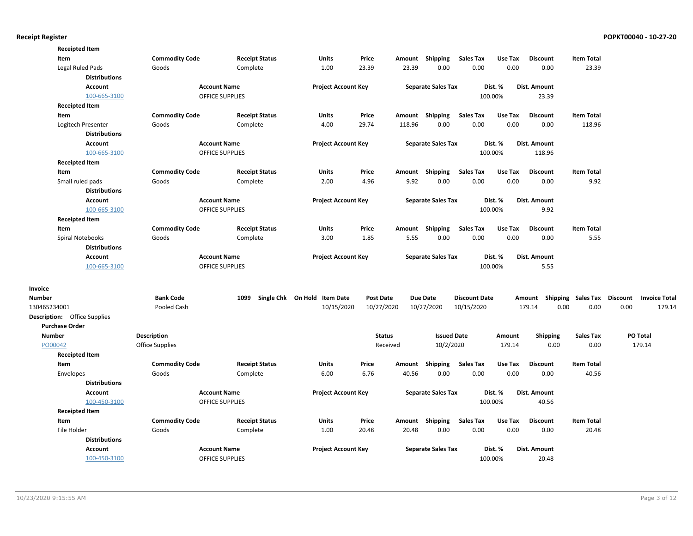| <b>Commodity Code</b><br><b>Receipt Status</b><br><b>Units</b><br>Price<br>Shipping<br><b>Sales Tax</b><br>Use Tax<br><b>Item Total</b><br>Item<br>Amount<br><b>Discount</b><br>23.39<br>23.39<br>0.00<br>0.00<br>0.00<br>Legal Ruled Pads<br>Goods<br>Complete<br>1.00<br>0.00<br>23.39<br><b>Distributions</b><br>Dist. Amount<br><b>Account Name</b><br><b>Project Account Key</b><br><b>Separate Sales Tax</b><br>Dist. %<br><b>Account</b><br><b>OFFICE SUPPLIES</b><br>100.00%<br>23.39<br>100-665-3100<br><b>Receipted Item</b><br><b>Commodity Code</b><br><b>Receipt Status</b><br><b>Sales Tax</b><br>Use Tax<br><b>Item Total</b><br>Item<br>Units<br>Price<br>Amount Shipping<br><b>Discount</b><br>29.74<br>118.96<br>0.00<br>0.00<br>Logitech Presenter<br>Goods<br>Complete<br>4.00<br>0.00<br>0.00<br>118.96<br><b>Distributions</b><br><b>Account</b><br><b>Account Name</b><br><b>Project Account Key</b><br><b>Separate Sales Tax</b><br>Dist. %<br>Dist. Amount<br>100-665-3100<br><b>OFFICE SUPPLIES</b><br>100.00%<br>118.96<br><b>Receipted Item</b><br><b>Sales Tax</b><br>Use Tax<br>Item<br><b>Commodity Code</b><br><b>Receipt Status</b><br>Units<br>Price<br>Shipping<br><b>Discount</b><br><b>Item Total</b><br>Amount<br>9.92<br>Small ruled pads<br>Goods<br>Complete<br>2.00<br>4.96<br>0.00<br>0.00<br>0.00<br>0.00<br>9.92<br><b>Distributions</b><br><b>Account Name</b><br><b>Account</b><br><b>Project Account Key</b><br><b>Separate Sales Tax</b><br>Dist. %<br>Dist. Amount<br>100-665-3100<br><b>OFFICE SUPPLIES</b><br>100.00%<br>9.92<br><b>Receipted Item</b><br><b>Commodity Code</b><br><b>Units</b><br><b>Sales Tax</b><br><b>Item Total</b><br>Item<br><b>Receipt Status</b><br>Price<br>Amount<br>Shipping<br>Use Tax<br><b>Discount</b><br>3.00<br>5.55<br>0.00<br>0.00<br>0.00<br>0.00<br>5.55<br>Spiral Notebooks<br>Goods<br>Complete<br>1.85<br><b>Distributions</b><br><b>Account Name</b><br><b>Project Account Key</b><br><b>Separate Sales Tax</b><br>Dist. %<br>Dist. Amount<br><b>Account</b><br>100-665-3100<br><b>OFFICE SUPPLIES</b><br>100.00%<br>5.55<br><b>Bank Code</b><br>Single Chk On Hold Item Date<br><b>Shipping Sales Tax</b><br><b>Discount</b><br><b>Number</b><br>1099<br><b>Post Date</b><br><b>Due Date</b><br><b>Discount Date</b><br><b>Invoice Total</b><br>Amount<br>0.00<br>Pooled Cash<br>10/15/2020<br>10/27/2020<br>10/27/2020<br>10/15/2020<br>179.14<br>0.00<br>0.00<br>179.14<br><b>Description:</b> Office Supplies<br><b>Purchase Order</b><br>Description<br>PO Total<br><b>Number</b><br><b>Status</b><br><b>Issued Date</b><br>Amount<br><b>Shipping</b><br><b>Sales Tax</b><br>PO00042<br>10/2/2020<br>179.14<br>0.00<br>0.00<br>179.14<br>Office Supplies<br>Received<br><b>Receipted Item</b><br>Item<br><b>Commodity Code</b><br><b>Receipt Status</b><br><b>Units</b><br>Price<br>Shipping<br><b>Sales Tax</b><br>Use Tax<br><b>Discount</b><br><b>Item Total</b><br>Amount<br>6.00<br>6.76<br>40.56<br>0.00<br>0.00<br>0.00<br>0.00<br>40.56<br>Envelopes<br>Goods<br>Complete<br><b>Distributions</b><br>Account<br><b>Account Name</b><br><b>Project Account Key</b><br><b>Separate Sales Tax</b><br>Dist. %<br>Dist. Amount<br>100-450-3100<br><b>OFFICE SUPPLIES</b><br>100.00%<br>40.56<br><b>Receipted Item</b><br>Amount Shipping<br><b>Sales Tax</b><br>Item<br><b>Commodity Code</b><br><b>Receipt Status</b><br>Units<br>Price<br>Use Tax<br><b>Discount</b><br><b>Item Total</b><br>File Holder<br>1.00<br>20.48<br>20.48<br>0.00<br>0.00<br>0.00<br>0.00<br>20.48<br>Goods<br>Complete<br><b>Distributions</b><br><b>Account</b><br><b>Account Name</b><br><b>Project Account Key</b><br><b>Separate Sales Tax</b><br>Dist. %<br>Dist. Amount<br><b>OFFICE SUPPLIES</b><br>100.00%<br>20.48<br>100-450-3100 | <b>Receipted Item</b> |  |  |  |  |  |  |
|-------------------------------------------------------------------------------------------------------------------------------------------------------------------------------------------------------------------------------------------------------------------------------------------------------------------------------------------------------------------------------------------------------------------------------------------------------------------------------------------------------------------------------------------------------------------------------------------------------------------------------------------------------------------------------------------------------------------------------------------------------------------------------------------------------------------------------------------------------------------------------------------------------------------------------------------------------------------------------------------------------------------------------------------------------------------------------------------------------------------------------------------------------------------------------------------------------------------------------------------------------------------------------------------------------------------------------------------------------------------------------------------------------------------------------------------------------------------------------------------------------------------------------------------------------------------------------------------------------------------------------------------------------------------------------------------------------------------------------------------------------------------------------------------------------------------------------------------------------------------------------------------------------------------------------------------------------------------------------------------------------------------------------------------------------------------------------------------------------------------------------------------------------------------------------------------------------------------------------------------------------------------------------------------------------------------------------------------------------------------------------------------------------------------------------------------------------------------------------------------------------------------------------------------------------------------------------------------------------------------------------------------------------------------------------------------------------------------------------------------------------------------------------------------------------------------------------------------------------------------------------------------------------------------------------------------------------------------------------------------------------------------------------------------------------------------------------------------------------------------------------------------------------------------------------------------------------------------------------------------------------------------------------------------------------------------------------------------------------------------------------------------------------------------------------------------------------------------------------------------------------------------------------------------------------------------------------------------------------------------------------------------------------------------------------------------------------------------------------------------------------------------------------------------------------------------------------|-----------------------|--|--|--|--|--|--|
|                                                                                                                                                                                                                                                                                                                                                                                                                                                                                                                                                                                                                                                                                                                                                                                                                                                                                                                                                                                                                                                                                                                                                                                                                                                                                                                                                                                                                                                                                                                                                                                                                                                                                                                                                                                                                                                                                                                                                                                                                                                                                                                                                                                                                                                                                                                                                                                                                                                                                                                                                                                                                                                                                                                                                                                                                                                                                                                                                                                                                                                                                                                                                                                                                                                                                                                                                                                                                                                                                                                                                                                                                                                                                                                                                                                                                               |                       |  |  |  |  |  |  |
|                                                                                                                                                                                                                                                                                                                                                                                                                                                                                                                                                                                                                                                                                                                                                                                                                                                                                                                                                                                                                                                                                                                                                                                                                                                                                                                                                                                                                                                                                                                                                                                                                                                                                                                                                                                                                                                                                                                                                                                                                                                                                                                                                                                                                                                                                                                                                                                                                                                                                                                                                                                                                                                                                                                                                                                                                                                                                                                                                                                                                                                                                                                                                                                                                                                                                                                                                                                                                                                                                                                                                                                                                                                                                                                                                                                                                               |                       |  |  |  |  |  |  |
|                                                                                                                                                                                                                                                                                                                                                                                                                                                                                                                                                                                                                                                                                                                                                                                                                                                                                                                                                                                                                                                                                                                                                                                                                                                                                                                                                                                                                                                                                                                                                                                                                                                                                                                                                                                                                                                                                                                                                                                                                                                                                                                                                                                                                                                                                                                                                                                                                                                                                                                                                                                                                                                                                                                                                                                                                                                                                                                                                                                                                                                                                                                                                                                                                                                                                                                                                                                                                                                                                                                                                                                                                                                                                                                                                                                                                               |                       |  |  |  |  |  |  |
|                                                                                                                                                                                                                                                                                                                                                                                                                                                                                                                                                                                                                                                                                                                                                                                                                                                                                                                                                                                                                                                                                                                                                                                                                                                                                                                                                                                                                                                                                                                                                                                                                                                                                                                                                                                                                                                                                                                                                                                                                                                                                                                                                                                                                                                                                                                                                                                                                                                                                                                                                                                                                                                                                                                                                                                                                                                                                                                                                                                                                                                                                                                                                                                                                                                                                                                                                                                                                                                                                                                                                                                                                                                                                                                                                                                                                               |                       |  |  |  |  |  |  |
|                                                                                                                                                                                                                                                                                                                                                                                                                                                                                                                                                                                                                                                                                                                                                                                                                                                                                                                                                                                                                                                                                                                                                                                                                                                                                                                                                                                                                                                                                                                                                                                                                                                                                                                                                                                                                                                                                                                                                                                                                                                                                                                                                                                                                                                                                                                                                                                                                                                                                                                                                                                                                                                                                                                                                                                                                                                                                                                                                                                                                                                                                                                                                                                                                                                                                                                                                                                                                                                                                                                                                                                                                                                                                                                                                                                                                               |                       |  |  |  |  |  |  |
|                                                                                                                                                                                                                                                                                                                                                                                                                                                                                                                                                                                                                                                                                                                                                                                                                                                                                                                                                                                                                                                                                                                                                                                                                                                                                                                                                                                                                                                                                                                                                                                                                                                                                                                                                                                                                                                                                                                                                                                                                                                                                                                                                                                                                                                                                                                                                                                                                                                                                                                                                                                                                                                                                                                                                                                                                                                                                                                                                                                                                                                                                                                                                                                                                                                                                                                                                                                                                                                                                                                                                                                                                                                                                                                                                                                                                               |                       |  |  |  |  |  |  |
|                                                                                                                                                                                                                                                                                                                                                                                                                                                                                                                                                                                                                                                                                                                                                                                                                                                                                                                                                                                                                                                                                                                                                                                                                                                                                                                                                                                                                                                                                                                                                                                                                                                                                                                                                                                                                                                                                                                                                                                                                                                                                                                                                                                                                                                                                                                                                                                                                                                                                                                                                                                                                                                                                                                                                                                                                                                                                                                                                                                                                                                                                                                                                                                                                                                                                                                                                                                                                                                                                                                                                                                                                                                                                                                                                                                                                               |                       |  |  |  |  |  |  |
|                                                                                                                                                                                                                                                                                                                                                                                                                                                                                                                                                                                                                                                                                                                                                                                                                                                                                                                                                                                                                                                                                                                                                                                                                                                                                                                                                                                                                                                                                                                                                                                                                                                                                                                                                                                                                                                                                                                                                                                                                                                                                                                                                                                                                                                                                                                                                                                                                                                                                                                                                                                                                                                                                                                                                                                                                                                                                                                                                                                                                                                                                                                                                                                                                                                                                                                                                                                                                                                                                                                                                                                                                                                                                                                                                                                                                               |                       |  |  |  |  |  |  |
|                                                                                                                                                                                                                                                                                                                                                                                                                                                                                                                                                                                                                                                                                                                                                                                                                                                                                                                                                                                                                                                                                                                                                                                                                                                                                                                                                                                                                                                                                                                                                                                                                                                                                                                                                                                                                                                                                                                                                                                                                                                                                                                                                                                                                                                                                                                                                                                                                                                                                                                                                                                                                                                                                                                                                                                                                                                                                                                                                                                                                                                                                                                                                                                                                                                                                                                                                                                                                                                                                                                                                                                                                                                                                                                                                                                                                               |                       |  |  |  |  |  |  |
|                                                                                                                                                                                                                                                                                                                                                                                                                                                                                                                                                                                                                                                                                                                                                                                                                                                                                                                                                                                                                                                                                                                                                                                                                                                                                                                                                                                                                                                                                                                                                                                                                                                                                                                                                                                                                                                                                                                                                                                                                                                                                                                                                                                                                                                                                                                                                                                                                                                                                                                                                                                                                                                                                                                                                                                                                                                                                                                                                                                                                                                                                                                                                                                                                                                                                                                                                                                                                                                                                                                                                                                                                                                                                                                                                                                                                               |                       |  |  |  |  |  |  |
|                                                                                                                                                                                                                                                                                                                                                                                                                                                                                                                                                                                                                                                                                                                                                                                                                                                                                                                                                                                                                                                                                                                                                                                                                                                                                                                                                                                                                                                                                                                                                                                                                                                                                                                                                                                                                                                                                                                                                                                                                                                                                                                                                                                                                                                                                                                                                                                                                                                                                                                                                                                                                                                                                                                                                                                                                                                                                                                                                                                                                                                                                                                                                                                                                                                                                                                                                                                                                                                                                                                                                                                                                                                                                                                                                                                                                               |                       |  |  |  |  |  |  |
|                                                                                                                                                                                                                                                                                                                                                                                                                                                                                                                                                                                                                                                                                                                                                                                                                                                                                                                                                                                                                                                                                                                                                                                                                                                                                                                                                                                                                                                                                                                                                                                                                                                                                                                                                                                                                                                                                                                                                                                                                                                                                                                                                                                                                                                                                                                                                                                                                                                                                                                                                                                                                                                                                                                                                                                                                                                                                                                                                                                                                                                                                                                                                                                                                                                                                                                                                                                                                                                                                                                                                                                                                                                                                                                                                                                                                               |                       |  |  |  |  |  |  |
|                                                                                                                                                                                                                                                                                                                                                                                                                                                                                                                                                                                                                                                                                                                                                                                                                                                                                                                                                                                                                                                                                                                                                                                                                                                                                                                                                                                                                                                                                                                                                                                                                                                                                                                                                                                                                                                                                                                                                                                                                                                                                                                                                                                                                                                                                                                                                                                                                                                                                                                                                                                                                                                                                                                                                                                                                                                                                                                                                                                                                                                                                                                                                                                                                                                                                                                                                                                                                                                                                                                                                                                                                                                                                                                                                                                                                               |                       |  |  |  |  |  |  |
|                                                                                                                                                                                                                                                                                                                                                                                                                                                                                                                                                                                                                                                                                                                                                                                                                                                                                                                                                                                                                                                                                                                                                                                                                                                                                                                                                                                                                                                                                                                                                                                                                                                                                                                                                                                                                                                                                                                                                                                                                                                                                                                                                                                                                                                                                                                                                                                                                                                                                                                                                                                                                                                                                                                                                                                                                                                                                                                                                                                                                                                                                                                                                                                                                                                                                                                                                                                                                                                                                                                                                                                                                                                                                                                                                                                                                               |                       |  |  |  |  |  |  |
|                                                                                                                                                                                                                                                                                                                                                                                                                                                                                                                                                                                                                                                                                                                                                                                                                                                                                                                                                                                                                                                                                                                                                                                                                                                                                                                                                                                                                                                                                                                                                                                                                                                                                                                                                                                                                                                                                                                                                                                                                                                                                                                                                                                                                                                                                                                                                                                                                                                                                                                                                                                                                                                                                                                                                                                                                                                                                                                                                                                                                                                                                                                                                                                                                                                                                                                                                                                                                                                                                                                                                                                                                                                                                                                                                                                                                               |                       |  |  |  |  |  |  |
|                                                                                                                                                                                                                                                                                                                                                                                                                                                                                                                                                                                                                                                                                                                                                                                                                                                                                                                                                                                                                                                                                                                                                                                                                                                                                                                                                                                                                                                                                                                                                                                                                                                                                                                                                                                                                                                                                                                                                                                                                                                                                                                                                                                                                                                                                                                                                                                                                                                                                                                                                                                                                                                                                                                                                                                                                                                                                                                                                                                                                                                                                                                                                                                                                                                                                                                                                                                                                                                                                                                                                                                                                                                                                                                                                                                                                               |                       |  |  |  |  |  |  |
|                                                                                                                                                                                                                                                                                                                                                                                                                                                                                                                                                                                                                                                                                                                                                                                                                                                                                                                                                                                                                                                                                                                                                                                                                                                                                                                                                                                                                                                                                                                                                                                                                                                                                                                                                                                                                                                                                                                                                                                                                                                                                                                                                                                                                                                                                                                                                                                                                                                                                                                                                                                                                                                                                                                                                                                                                                                                                                                                                                                                                                                                                                                                                                                                                                                                                                                                                                                                                                                                                                                                                                                                                                                                                                                                                                                                                               |                       |  |  |  |  |  |  |
|                                                                                                                                                                                                                                                                                                                                                                                                                                                                                                                                                                                                                                                                                                                                                                                                                                                                                                                                                                                                                                                                                                                                                                                                                                                                                                                                                                                                                                                                                                                                                                                                                                                                                                                                                                                                                                                                                                                                                                                                                                                                                                                                                                                                                                                                                                                                                                                                                                                                                                                                                                                                                                                                                                                                                                                                                                                                                                                                                                                                                                                                                                                                                                                                                                                                                                                                                                                                                                                                                                                                                                                                                                                                                                                                                                                                                               |                       |  |  |  |  |  |  |
|                                                                                                                                                                                                                                                                                                                                                                                                                                                                                                                                                                                                                                                                                                                                                                                                                                                                                                                                                                                                                                                                                                                                                                                                                                                                                                                                                                                                                                                                                                                                                                                                                                                                                                                                                                                                                                                                                                                                                                                                                                                                                                                                                                                                                                                                                                                                                                                                                                                                                                                                                                                                                                                                                                                                                                                                                                                                                                                                                                                                                                                                                                                                                                                                                                                                                                                                                                                                                                                                                                                                                                                                                                                                                                                                                                                                                               |                       |  |  |  |  |  |  |
|                                                                                                                                                                                                                                                                                                                                                                                                                                                                                                                                                                                                                                                                                                                                                                                                                                                                                                                                                                                                                                                                                                                                                                                                                                                                                                                                                                                                                                                                                                                                                                                                                                                                                                                                                                                                                                                                                                                                                                                                                                                                                                                                                                                                                                                                                                                                                                                                                                                                                                                                                                                                                                                                                                                                                                                                                                                                                                                                                                                                                                                                                                                                                                                                                                                                                                                                                                                                                                                                                                                                                                                                                                                                                                                                                                                                                               |                       |  |  |  |  |  |  |
|                                                                                                                                                                                                                                                                                                                                                                                                                                                                                                                                                                                                                                                                                                                                                                                                                                                                                                                                                                                                                                                                                                                                                                                                                                                                                                                                                                                                                                                                                                                                                                                                                                                                                                                                                                                                                                                                                                                                                                                                                                                                                                                                                                                                                                                                                                                                                                                                                                                                                                                                                                                                                                                                                                                                                                                                                                                                                                                                                                                                                                                                                                                                                                                                                                                                                                                                                                                                                                                                                                                                                                                                                                                                                                                                                                                                                               |                       |  |  |  |  |  |  |
|                                                                                                                                                                                                                                                                                                                                                                                                                                                                                                                                                                                                                                                                                                                                                                                                                                                                                                                                                                                                                                                                                                                                                                                                                                                                                                                                                                                                                                                                                                                                                                                                                                                                                                                                                                                                                                                                                                                                                                                                                                                                                                                                                                                                                                                                                                                                                                                                                                                                                                                                                                                                                                                                                                                                                                                                                                                                                                                                                                                                                                                                                                                                                                                                                                                                                                                                                                                                                                                                                                                                                                                                                                                                                                                                                                                                                               |                       |  |  |  |  |  |  |
|                                                                                                                                                                                                                                                                                                                                                                                                                                                                                                                                                                                                                                                                                                                                                                                                                                                                                                                                                                                                                                                                                                                                                                                                                                                                                                                                                                                                                                                                                                                                                                                                                                                                                                                                                                                                                                                                                                                                                                                                                                                                                                                                                                                                                                                                                                                                                                                                                                                                                                                                                                                                                                                                                                                                                                                                                                                                                                                                                                                                                                                                                                                                                                                                                                                                                                                                                                                                                                                                                                                                                                                                                                                                                                                                                                                                                               |                       |  |  |  |  |  |  |
|                                                                                                                                                                                                                                                                                                                                                                                                                                                                                                                                                                                                                                                                                                                                                                                                                                                                                                                                                                                                                                                                                                                                                                                                                                                                                                                                                                                                                                                                                                                                                                                                                                                                                                                                                                                                                                                                                                                                                                                                                                                                                                                                                                                                                                                                                                                                                                                                                                                                                                                                                                                                                                                                                                                                                                                                                                                                                                                                                                                                                                                                                                                                                                                                                                                                                                                                                                                                                                                                                                                                                                                                                                                                                                                                                                                                                               | Invoice               |  |  |  |  |  |  |
|                                                                                                                                                                                                                                                                                                                                                                                                                                                                                                                                                                                                                                                                                                                                                                                                                                                                                                                                                                                                                                                                                                                                                                                                                                                                                                                                                                                                                                                                                                                                                                                                                                                                                                                                                                                                                                                                                                                                                                                                                                                                                                                                                                                                                                                                                                                                                                                                                                                                                                                                                                                                                                                                                                                                                                                                                                                                                                                                                                                                                                                                                                                                                                                                                                                                                                                                                                                                                                                                                                                                                                                                                                                                                                                                                                                                                               |                       |  |  |  |  |  |  |
|                                                                                                                                                                                                                                                                                                                                                                                                                                                                                                                                                                                                                                                                                                                                                                                                                                                                                                                                                                                                                                                                                                                                                                                                                                                                                                                                                                                                                                                                                                                                                                                                                                                                                                                                                                                                                                                                                                                                                                                                                                                                                                                                                                                                                                                                                                                                                                                                                                                                                                                                                                                                                                                                                                                                                                                                                                                                                                                                                                                                                                                                                                                                                                                                                                                                                                                                                                                                                                                                                                                                                                                                                                                                                                                                                                                                                               | 130465234001          |  |  |  |  |  |  |
|                                                                                                                                                                                                                                                                                                                                                                                                                                                                                                                                                                                                                                                                                                                                                                                                                                                                                                                                                                                                                                                                                                                                                                                                                                                                                                                                                                                                                                                                                                                                                                                                                                                                                                                                                                                                                                                                                                                                                                                                                                                                                                                                                                                                                                                                                                                                                                                                                                                                                                                                                                                                                                                                                                                                                                                                                                                                                                                                                                                                                                                                                                                                                                                                                                                                                                                                                                                                                                                                                                                                                                                                                                                                                                                                                                                                                               |                       |  |  |  |  |  |  |
|                                                                                                                                                                                                                                                                                                                                                                                                                                                                                                                                                                                                                                                                                                                                                                                                                                                                                                                                                                                                                                                                                                                                                                                                                                                                                                                                                                                                                                                                                                                                                                                                                                                                                                                                                                                                                                                                                                                                                                                                                                                                                                                                                                                                                                                                                                                                                                                                                                                                                                                                                                                                                                                                                                                                                                                                                                                                                                                                                                                                                                                                                                                                                                                                                                                                                                                                                                                                                                                                                                                                                                                                                                                                                                                                                                                                                               |                       |  |  |  |  |  |  |
|                                                                                                                                                                                                                                                                                                                                                                                                                                                                                                                                                                                                                                                                                                                                                                                                                                                                                                                                                                                                                                                                                                                                                                                                                                                                                                                                                                                                                                                                                                                                                                                                                                                                                                                                                                                                                                                                                                                                                                                                                                                                                                                                                                                                                                                                                                                                                                                                                                                                                                                                                                                                                                                                                                                                                                                                                                                                                                                                                                                                                                                                                                                                                                                                                                                                                                                                                                                                                                                                                                                                                                                                                                                                                                                                                                                                                               |                       |  |  |  |  |  |  |
|                                                                                                                                                                                                                                                                                                                                                                                                                                                                                                                                                                                                                                                                                                                                                                                                                                                                                                                                                                                                                                                                                                                                                                                                                                                                                                                                                                                                                                                                                                                                                                                                                                                                                                                                                                                                                                                                                                                                                                                                                                                                                                                                                                                                                                                                                                                                                                                                                                                                                                                                                                                                                                                                                                                                                                                                                                                                                                                                                                                                                                                                                                                                                                                                                                                                                                                                                                                                                                                                                                                                                                                                                                                                                                                                                                                                                               |                       |  |  |  |  |  |  |
|                                                                                                                                                                                                                                                                                                                                                                                                                                                                                                                                                                                                                                                                                                                                                                                                                                                                                                                                                                                                                                                                                                                                                                                                                                                                                                                                                                                                                                                                                                                                                                                                                                                                                                                                                                                                                                                                                                                                                                                                                                                                                                                                                                                                                                                                                                                                                                                                                                                                                                                                                                                                                                                                                                                                                                                                                                                                                                                                                                                                                                                                                                                                                                                                                                                                                                                                                                                                                                                                                                                                                                                                                                                                                                                                                                                                                               |                       |  |  |  |  |  |  |
|                                                                                                                                                                                                                                                                                                                                                                                                                                                                                                                                                                                                                                                                                                                                                                                                                                                                                                                                                                                                                                                                                                                                                                                                                                                                                                                                                                                                                                                                                                                                                                                                                                                                                                                                                                                                                                                                                                                                                                                                                                                                                                                                                                                                                                                                                                                                                                                                                                                                                                                                                                                                                                                                                                                                                                                                                                                                                                                                                                                                                                                                                                                                                                                                                                                                                                                                                                                                                                                                                                                                                                                                                                                                                                                                                                                                                               |                       |  |  |  |  |  |  |
|                                                                                                                                                                                                                                                                                                                                                                                                                                                                                                                                                                                                                                                                                                                                                                                                                                                                                                                                                                                                                                                                                                                                                                                                                                                                                                                                                                                                                                                                                                                                                                                                                                                                                                                                                                                                                                                                                                                                                                                                                                                                                                                                                                                                                                                                                                                                                                                                                                                                                                                                                                                                                                                                                                                                                                                                                                                                                                                                                                                                                                                                                                                                                                                                                                                                                                                                                                                                                                                                                                                                                                                                                                                                                                                                                                                                                               |                       |  |  |  |  |  |  |
|                                                                                                                                                                                                                                                                                                                                                                                                                                                                                                                                                                                                                                                                                                                                                                                                                                                                                                                                                                                                                                                                                                                                                                                                                                                                                                                                                                                                                                                                                                                                                                                                                                                                                                                                                                                                                                                                                                                                                                                                                                                                                                                                                                                                                                                                                                                                                                                                                                                                                                                                                                                                                                                                                                                                                                                                                                                                                                                                                                                                                                                                                                                                                                                                                                                                                                                                                                                                                                                                                                                                                                                                                                                                                                                                                                                                                               |                       |  |  |  |  |  |  |
|                                                                                                                                                                                                                                                                                                                                                                                                                                                                                                                                                                                                                                                                                                                                                                                                                                                                                                                                                                                                                                                                                                                                                                                                                                                                                                                                                                                                                                                                                                                                                                                                                                                                                                                                                                                                                                                                                                                                                                                                                                                                                                                                                                                                                                                                                                                                                                                                                                                                                                                                                                                                                                                                                                                                                                                                                                                                                                                                                                                                                                                                                                                                                                                                                                                                                                                                                                                                                                                                                                                                                                                                                                                                                                                                                                                                                               |                       |  |  |  |  |  |  |
|                                                                                                                                                                                                                                                                                                                                                                                                                                                                                                                                                                                                                                                                                                                                                                                                                                                                                                                                                                                                                                                                                                                                                                                                                                                                                                                                                                                                                                                                                                                                                                                                                                                                                                                                                                                                                                                                                                                                                                                                                                                                                                                                                                                                                                                                                                                                                                                                                                                                                                                                                                                                                                                                                                                                                                                                                                                                                                                                                                                                                                                                                                                                                                                                                                                                                                                                                                                                                                                                                                                                                                                                                                                                                                                                                                                                                               |                       |  |  |  |  |  |  |
|                                                                                                                                                                                                                                                                                                                                                                                                                                                                                                                                                                                                                                                                                                                                                                                                                                                                                                                                                                                                                                                                                                                                                                                                                                                                                                                                                                                                                                                                                                                                                                                                                                                                                                                                                                                                                                                                                                                                                                                                                                                                                                                                                                                                                                                                                                                                                                                                                                                                                                                                                                                                                                                                                                                                                                                                                                                                                                                                                                                                                                                                                                                                                                                                                                                                                                                                                                                                                                                                                                                                                                                                                                                                                                                                                                                                                               |                       |  |  |  |  |  |  |
|                                                                                                                                                                                                                                                                                                                                                                                                                                                                                                                                                                                                                                                                                                                                                                                                                                                                                                                                                                                                                                                                                                                                                                                                                                                                                                                                                                                                                                                                                                                                                                                                                                                                                                                                                                                                                                                                                                                                                                                                                                                                                                                                                                                                                                                                                                                                                                                                                                                                                                                                                                                                                                                                                                                                                                                                                                                                                                                                                                                                                                                                                                                                                                                                                                                                                                                                                                                                                                                                                                                                                                                                                                                                                                                                                                                                                               |                       |  |  |  |  |  |  |
|                                                                                                                                                                                                                                                                                                                                                                                                                                                                                                                                                                                                                                                                                                                                                                                                                                                                                                                                                                                                                                                                                                                                                                                                                                                                                                                                                                                                                                                                                                                                                                                                                                                                                                                                                                                                                                                                                                                                                                                                                                                                                                                                                                                                                                                                                                                                                                                                                                                                                                                                                                                                                                                                                                                                                                                                                                                                                                                                                                                                                                                                                                                                                                                                                                                                                                                                                                                                                                                                                                                                                                                                                                                                                                                                                                                                                               |                       |  |  |  |  |  |  |
|                                                                                                                                                                                                                                                                                                                                                                                                                                                                                                                                                                                                                                                                                                                                                                                                                                                                                                                                                                                                                                                                                                                                                                                                                                                                                                                                                                                                                                                                                                                                                                                                                                                                                                                                                                                                                                                                                                                                                                                                                                                                                                                                                                                                                                                                                                                                                                                                                                                                                                                                                                                                                                                                                                                                                                                                                                                                                                                                                                                                                                                                                                                                                                                                                                                                                                                                                                                                                                                                                                                                                                                                                                                                                                                                                                                                                               |                       |  |  |  |  |  |  |
|                                                                                                                                                                                                                                                                                                                                                                                                                                                                                                                                                                                                                                                                                                                                                                                                                                                                                                                                                                                                                                                                                                                                                                                                                                                                                                                                                                                                                                                                                                                                                                                                                                                                                                                                                                                                                                                                                                                                                                                                                                                                                                                                                                                                                                                                                                                                                                                                                                                                                                                                                                                                                                                                                                                                                                                                                                                                                                                                                                                                                                                                                                                                                                                                                                                                                                                                                                                                                                                                                                                                                                                                                                                                                                                                                                                                                               |                       |  |  |  |  |  |  |
|                                                                                                                                                                                                                                                                                                                                                                                                                                                                                                                                                                                                                                                                                                                                                                                                                                                                                                                                                                                                                                                                                                                                                                                                                                                                                                                                                                                                                                                                                                                                                                                                                                                                                                                                                                                                                                                                                                                                                                                                                                                                                                                                                                                                                                                                                                                                                                                                                                                                                                                                                                                                                                                                                                                                                                                                                                                                                                                                                                                                                                                                                                                                                                                                                                                                                                                                                                                                                                                                                                                                                                                                                                                                                                                                                                                                                               |                       |  |  |  |  |  |  |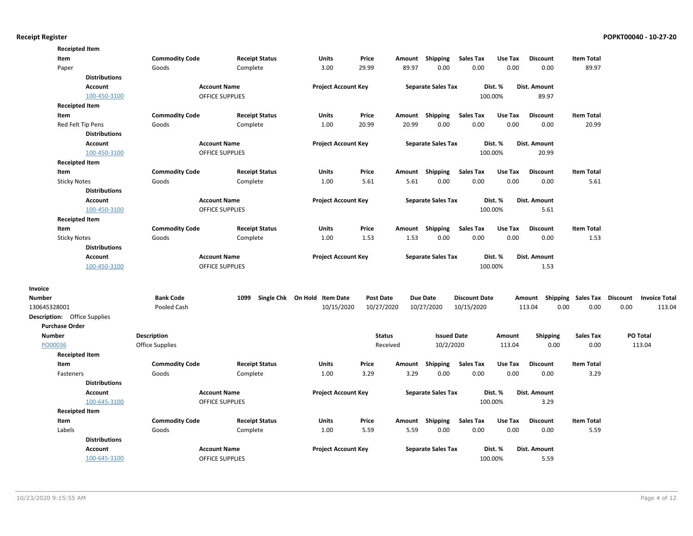|                       | <b>Receipted Item</b>               |                       |                        |                              |                  |        |                           |                      |         |                                    |                   |      |                      |
|-----------------------|-------------------------------------|-----------------------|------------------------|------------------------------|------------------|--------|---------------------------|----------------------|---------|------------------------------------|-------------------|------|----------------------|
| Item                  |                                     | <b>Commodity Code</b> | <b>Receipt Status</b>  | <b>Units</b>                 | Price            | Amount | Shipping                  | <b>Sales Tax</b>     | Use Tax | <b>Discount</b>                    | <b>Item Total</b> |      |                      |
| Paper                 |                                     | Goods                 | Complete               | 3.00                         | 29.99            | 89.97  | 0.00                      | 0.00                 | 0.00    | 0.00                               | 89.97             |      |                      |
|                       | <b>Distributions</b>                |                       |                        |                              |                  |        |                           |                      |         |                                    |                   |      |                      |
|                       | Account                             |                       | <b>Account Name</b>    | <b>Project Account Key</b>   |                  |        | <b>Separate Sales Tax</b> |                      | Dist. % | Dist. Amount                       |                   |      |                      |
|                       | 100-450-3100                        |                       | OFFICE SUPPLIES        |                              |                  |        |                           |                      | 100.00% | 89.97                              |                   |      |                      |
|                       | <b>Receipted Item</b>               |                       |                        |                              |                  |        |                           |                      |         |                                    |                   |      |                      |
| Item                  |                                     | <b>Commodity Code</b> | <b>Receipt Status</b>  | Units                        | Price            |        | Amount Shipping           | <b>Sales Tax</b>     | Use Tax | <b>Discount</b>                    | <b>Item Total</b> |      |                      |
|                       | Red Felt Tip Pens                   | Goods                 | Complete               | 1.00                         | 20.99            | 20.99  | 0.00                      | 0.00                 | 0.00    | 0.00                               | 20.99             |      |                      |
|                       | <b>Distributions</b>                |                       |                        |                              |                  |        |                           |                      |         |                                    |                   |      |                      |
|                       | Account                             |                       | <b>Account Name</b>    | <b>Project Account Key</b>   |                  |        | <b>Separate Sales Tax</b> |                      | Dist. % | Dist. Amount                       |                   |      |                      |
|                       | 100-450-3100                        |                       | OFFICE SUPPLIES        |                              |                  |        |                           |                      | 100.00% | 20.99                              |                   |      |                      |
|                       | <b>Receipted Item</b>               |                       |                        |                              |                  |        |                           |                      |         |                                    |                   |      |                      |
| Item                  |                                     | <b>Commodity Code</b> | <b>Receipt Status</b>  | Units                        | Price            |        | Amount Shipping           | <b>Sales Tax</b>     | Use Tax | <b>Discount</b>                    | <b>Item Total</b> |      |                      |
|                       | <b>Sticky Notes</b>                 | Goods                 | Complete               | 1.00                         | 5.61             | 5.61   | 0.00                      | 0.00                 | 0.00    | 0.00                               | 5.61              |      |                      |
|                       | <b>Distributions</b>                |                       |                        |                              |                  |        |                           |                      |         |                                    |                   |      |                      |
|                       | Account                             |                       | <b>Account Name</b>    | <b>Project Account Key</b>   |                  |        | <b>Separate Sales Tax</b> |                      | Dist. % | Dist. Amount                       |                   |      |                      |
|                       | 100-450-3100                        |                       | OFFICE SUPPLIES        |                              |                  |        |                           |                      | 100.00% | 5.61                               |                   |      |                      |
|                       | <b>Receipted Item</b>               |                       |                        |                              |                  |        |                           |                      |         |                                    |                   |      |                      |
| Item                  |                                     | <b>Commodity Code</b> | <b>Receipt Status</b>  | Units                        | Price            | Amount | Shipping                  | <b>Sales Tax</b>     | Use Tax | <b>Discount</b>                    | <b>Item Total</b> |      |                      |
|                       | <b>Sticky Notes</b>                 | Goods                 | Complete               | 1.00                         | 1.53             | 1.53   | 0.00                      | 0.00                 | 0.00    | 0.00                               | 1.53              |      |                      |
|                       | <b>Distributions</b>                |                       |                        |                              |                  |        |                           |                      |         |                                    |                   |      |                      |
|                       | <b>Account</b>                      |                       | <b>Account Name</b>    | <b>Project Account Key</b>   |                  |        | <b>Separate Sales Tax</b> |                      | Dist. % | Dist. Amount                       |                   |      |                      |
|                       | 100-450-3100                        |                       | <b>OFFICE SUPPLIES</b> |                              |                  |        |                           |                      | 100.00% | 1.53                               |                   |      |                      |
| Invoice               |                                     |                       |                        |                              |                  |        |                           |                      |         |                                    |                   |      |                      |
| <b>Number</b>         |                                     | <b>Bank Code</b>      | 1099                   | Single Chk On Hold Item Date | <b>Post Date</b> |        | <b>Due Date</b>           | <b>Discount Date</b> |         | Amount Shipping Sales Tax Discount |                   |      | <b>Invoice Total</b> |
| 130645328001          |                                     | Pooled Cash           |                        | 10/15/2020                   | 10/27/2020       |        | 10/27/2020                | 10/15/2020           |         | 0.00<br>113.04                     | 0.00              | 0.00 | 113.04               |
|                       | <b>Description:</b> Office Supplies |                       |                        |                              |                  |        |                           |                      |         |                                    |                   |      |                      |
| <b>Purchase Order</b> |                                     |                       |                        |                              |                  |        |                           |                      |         |                                    |                   |      |                      |
| <b>Number</b>         |                                     | Description           |                        |                              | <b>Status</b>    |        | <b>Issued Date</b>        |                      | Amount  | <b>Shipping</b>                    | <b>Sales Tax</b>  |      | PO Total             |
| PO00036               |                                     | Office Supplies       |                        |                              | Received         |        | 10/2/2020                 |                      | 113.04  | 0.00                               | 0.00              |      | 113.04               |
|                       | <b>Receipted Item</b>               |                       |                        |                              |                  |        |                           |                      |         |                                    |                   |      |                      |
| Item                  |                                     | <b>Commodity Code</b> | <b>Receipt Status</b>  | <b>Units</b>                 | Price            | Amount | Shipping                  | <b>Sales Tax</b>     | Use Tax | <b>Discount</b>                    | <b>Item Total</b> |      |                      |
|                       | Fasteners                           | Goods                 | Complete               | 1.00                         | 3.29             | 3.29   | 0.00                      | 0.00                 | 0.00    | 0.00                               | 3.29              |      |                      |
|                       | <b>Distributions</b>                |                       |                        |                              |                  |        |                           |                      |         |                                    |                   |      |                      |
|                       | <b>Account</b>                      |                       | <b>Account Name</b>    | <b>Project Account Key</b>   |                  |        | <b>Separate Sales Tax</b> |                      | Dist. % | Dist. Amount                       |                   |      |                      |
|                       | 100-645-3100                        |                       | <b>OFFICE SUPPLIES</b> |                              |                  |        |                           |                      | 100.00% | 3.29                               |                   |      |                      |
|                       | <b>Receipted Item</b>               |                       |                        |                              |                  |        |                           |                      |         |                                    |                   |      |                      |
| Item                  |                                     | <b>Commodity Code</b> | <b>Receipt Status</b>  | Units                        | Price            |        | Amount Shipping           | <b>Sales Tax</b>     | Use Tax | <b>Discount</b>                    | <b>Item Total</b> |      |                      |
|                       | Labels                              | Goods                 | Complete               | 1.00                         | 5.59             | 5.59   | 0.00                      | 0.00                 | 0.00    | 0.00                               | 5.59              |      |                      |
|                       | <b>Distributions</b>                |                       |                        |                              |                  |        |                           |                      |         |                                    |                   |      |                      |
|                       | <b>Account</b>                      |                       | <b>Account Name</b>    | <b>Project Account Key</b>   |                  |        | <b>Separate Sales Tax</b> |                      | Dist. % | Dist. Amount                       |                   |      |                      |
|                       | 100-645-3100                        |                       | <b>OFFICE SUPPLIES</b> |                              |                  |        |                           |                      | 100.00% | 5.59                               |                   |      |                      |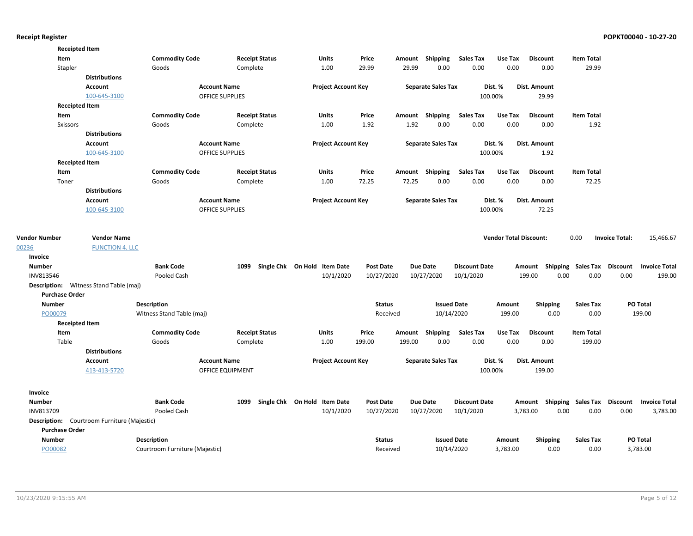|                      | <b>Receipted Item</b> |                                               |                                |                        |                              |                            |                  |                           |                      |                               |                 |                                    |                       |                      |
|----------------------|-----------------------|-----------------------------------------------|--------------------------------|------------------------|------------------------------|----------------------------|------------------|---------------------------|----------------------|-------------------------------|-----------------|------------------------------------|-----------------------|----------------------|
|                      | Item                  |                                               | <b>Commodity Code</b>          | <b>Receipt Status</b>  | Units                        | Price                      |                  | Amount Shipping           | <b>Sales Tax</b>     | Use Tax                       | <b>Discount</b> | <b>Item Total</b>                  |                       |                      |
|                      | Stapler               |                                               | Goods                          | Complete               | 1.00                         | 29.99                      | 29.99            | 0.00                      | 0.00                 | 0.00                          | 0.00            | 29.99                              |                       |                      |
|                      |                       | <b>Distributions</b>                          |                                |                        |                              |                            |                  |                           |                      |                               |                 |                                    |                       |                      |
|                      |                       | <b>Account</b>                                |                                | <b>Account Name</b>    |                              | <b>Project Account Key</b> |                  | <b>Separate Sales Tax</b> |                      | Dist. %                       | Dist. Amount    |                                    |                       |                      |
|                      |                       | 100-645-3100                                  |                                | <b>OFFICE SUPPLIES</b> |                              |                            |                  |                           |                      | 100.00%                       | 29.99           |                                    |                       |                      |
|                      | <b>Receipted Item</b> |                                               |                                |                        |                              |                            |                  |                           |                      |                               |                 |                                    |                       |                      |
|                      | Item                  |                                               | <b>Commodity Code</b>          | <b>Receipt Status</b>  | Units                        | Price                      |                  | Amount Shipping           | Sales Tax            | Use Tax                       | <b>Discount</b> | <b>Item Total</b>                  |                       |                      |
|                      | <b>Sxissors</b>       |                                               | Goods                          | Complete               | 1.00                         | 1.92                       | 1.92             | 0.00                      | 0.00                 | 0.00                          | 0.00            | 1.92                               |                       |                      |
|                      |                       | <b>Distributions</b>                          |                                |                        |                              |                            |                  |                           |                      |                               |                 |                                    |                       |                      |
|                      |                       | <b>Account</b>                                |                                | <b>Account Name</b>    |                              | <b>Project Account Key</b> |                  | <b>Separate Sales Tax</b> |                      | Dist. %                       | Dist. Amount    |                                    |                       |                      |
|                      |                       | 100-645-3100                                  |                                | <b>OFFICE SUPPLIES</b> |                              |                            |                  |                           |                      | 100.00%                       | 1.92            |                                    |                       |                      |
|                      | <b>Receipted Item</b> |                                               |                                |                        |                              |                            |                  |                           |                      |                               |                 |                                    |                       |                      |
|                      | Item                  |                                               | <b>Commodity Code</b>          | <b>Receipt Status</b>  | <b>Units</b>                 | Price                      |                  | Amount Shipping           | <b>Sales Tax</b>     | Use Tax                       | <b>Discount</b> | <b>Item Total</b>                  |                       |                      |
|                      | Toner                 |                                               | Goods                          | Complete               | 1.00                         | 72.25                      | 72.25            | 0.00                      | 0.00                 | 0.00                          | 0.00            | 72.25                              |                       |                      |
|                      |                       | <b>Distributions</b>                          |                                |                        |                              |                            |                  |                           |                      |                               |                 |                                    |                       |                      |
|                      |                       | <b>Account</b>                                |                                | <b>Account Name</b>    |                              | <b>Project Account Key</b> |                  | <b>Separate Sales Tax</b> |                      | Dist. %                       | Dist. Amount    |                                    |                       |                      |
|                      |                       | 100-645-3100                                  |                                | OFFICE SUPPLIES        |                              |                            |                  |                           |                      | 100.00%                       | 72.25           |                                    |                       |                      |
|                      |                       |                                               |                                |                        |                              |                            |                  |                           |                      |                               |                 |                                    |                       |                      |
| <b>Vendor Number</b> |                       | <b>Vendor Name</b>                            |                                |                        |                              |                            |                  |                           |                      | <b>Vendor Total Discount:</b> |                 | 0.00                               | <b>Invoice Total:</b> | 15,466.67            |
| 00236                |                       | <b>FUNCTION 4, LLC</b>                        |                                |                        |                              |                            |                  |                           |                      |                               |                 |                                    |                       |                      |
| Invoice              |                       |                                               |                                |                        |                              |                            |                  |                           |                      |                               |                 |                                    |                       |                      |
| <b>Number</b>        |                       |                                               | <b>Bank Code</b>               | 1099                   | Single Chk On Hold Item Date |                            | <b>Post Date</b> | <b>Due Date</b>           | <b>Discount Date</b> |                               |                 | Amount Shipping Sales Tax Discount |                       | <b>Invoice Total</b> |
| INV813546            |                       |                                               | Pooled Cash                    |                        | 10/1/2020                    |                            | 10/27/2020       | 10/27/2020                | 10/1/2020            |                               | 199.00          | 0.00<br>0.00                       | 0.00                  | 199.00               |
|                      |                       | <b>Description:</b> Witness Stand Table (maj) |                                |                        |                              |                            |                  |                           |                      |                               |                 |                                    |                       |                      |
|                      | <b>Purchase Order</b> |                                               |                                |                        |                              |                            |                  |                           |                      |                               |                 |                                    |                       |                      |
| <b>Number</b>        |                       |                                               | <b>Description</b>             |                        |                              |                            | <b>Status</b>    | <b>Issued Date</b>        |                      | Amount                        | <b>Shipping</b> | <b>Sales Tax</b>                   |                       | PO Total             |
| PO00079              |                       |                                               | Witness Stand Table (maj)      |                        |                              |                            | Received         | 10/14/2020                |                      | 199.00                        | 0.00            | 0.00                               |                       | 199.00               |
|                      | <b>Receipted Item</b> |                                               |                                |                        |                              |                            |                  |                           |                      |                               |                 |                                    |                       |                      |
|                      | Item                  |                                               | <b>Commodity Code</b>          | <b>Receipt Status</b>  | Units                        | Price                      | Amount           | Shipping                  | <b>Sales Tax</b>     | Use Tax                       | <b>Discount</b> | <b>Item Total</b>                  |                       |                      |
|                      | Table                 |                                               | Goods                          | Complete               | 1.00                         | 199.00                     | 199.00           | 0.00                      | 0.00                 | 0.00                          | 0.00            | 199.00                             |                       |                      |
|                      |                       | <b>Distributions</b>                          |                                |                        |                              |                            |                  |                           |                      |                               |                 |                                    |                       |                      |
|                      |                       | <b>Account</b>                                |                                | <b>Account Name</b>    |                              | <b>Project Account Key</b> |                  | <b>Separate Sales Tax</b> |                      | Dist. %                       | Dist. Amount    |                                    |                       |                      |
|                      |                       | 413-413-5720                                  |                                | OFFICE EQUIPMENT       |                              |                            |                  |                           |                      | 100.00%                       | 199.00          |                                    |                       |                      |
| Invoice              |                       |                                               |                                |                        |                              |                            |                  |                           |                      |                               |                 |                                    |                       |                      |
| <b>Number</b>        |                       |                                               | <b>Bank Code</b>               | 1099                   | Single Chk On Hold Item Date |                            | Post Date        | <b>Due Date</b>           | <b>Discount Date</b> |                               |                 | Amount Shipping Sales Tax Discount |                       | <b>Invoice Total</b> |
| INV813709            |                       |                                               | Pooled Cash                    |                        | 10/1/2020                    |                            | 10/27/2020       | 10/27/2020                | 10/1/2020            |                               | 3,783.00        | 0.00<br>0.00                       | 0.00                  | 3,783.00             |
|                      |                       | Description: Courtroom Furniture (Majestic)   |                                |                        |                              |                            |                  |                           |                      |                               |                 |                                    |                       |                      |
|                      | <b>Purchase Order</b> |                                               |                                |                        |                              |                            |                  |                           |                      |                               |                 |                                    |                       |                      |
| <b>Number</b>        |                       |                                               | <b>Description</b>             |                        |                              |                            | Status           | <b>Issued Date</b>        |                      | Amount                        | <b>Shipping</b> | Sales Tax                          |                       | <b>PO Total</b>      |
| PO00082              |                       |                                               | Courtroom Furniture (Majestic) |                        |                              |                            | Received         | 10/14/2020                |                      | 3,783.00                      | 0.00            | 0.00                               |                       | 3,783.00             |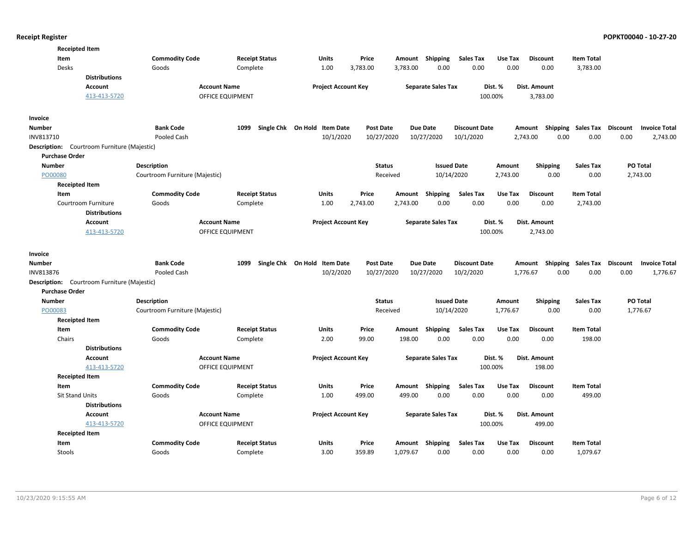| <b>Receipted Item</b>                          |                                |                       |                              |                  |          |                           |                      |          |                  |                    |                                         |
|------------------------------------------------|--------------------------------|-----------------------|------------------------------|------------------|----------|---------------------------|----------------------|----------|------------------|--------------------|-----------------------------------------|
| Item                                           | <b>Commodity Code</b>          | <b>Receipt Status</b> | <b>Units</b>                 | Price            | Amount   | Shipping                  | Sales Tax            | Use Tax  | <b>Discount</b>  | <b>Item Total</b>  |                                         |
| Desks                                          | Goods                          | Complete              | 1.00                         | 3,783.00         | 3,783.00 | 0.00                      | 0.00                 | 0.00     | 0.00             | 3,783.00           |                                         |
| <b>Distributions</b>                           |                                |                       |                              |                  |          |                           |                      |          |                  |                    |                                         |
| Account                                        | <b>Account Name</b>            |                       | <b>Project Account Key</b>   |                  |          | <b>Separate Sales Tax</b> |                      | Dist. %  | Dist. Amount     |                    |                                         |
| 413-413-5720                                   | OFFICE EQUIPMENT               |                       |                              |                  |          |                           |                      | 100.00%  | 3,783.00         |                    |                                         |
| Invoice                                        |                                |                       |                              |                  |          |                           |                      |          |                  |                    |                                         |
| <b>Number</b>                                  | <b>Bank Code</b>               | 1099                  | Single Chk On Hold Item Date | <b>Post Date</b> |          | <b>Due Date</b>           | <b>Discount Date</b> |          | Amount           | Shipping Sales Tax | <b>Discount</b><br><b>Invoice Total</b> |
| INV813710                                      | Pooled Cash                    |                       | 10/1/2020                    | 10/27/2020       |          | 10/27/2020                | 10/1/2020            |          | 2,743.00<br>0.00 | 0.00               | 2,743.00<br>0.00                        |
| Description:<br>Courtroom Furniture (Majestic) |                                |                       |                              |                  |          |                           |                      |          |                  |                    |                                         |
| <b>Purchase Order</b>                          |                                |                       |                              |                  |          |                           |                      |          |                  |                    |                                         |
| <b>Number</b>                                  | <b>Description</b>             |                       |                              | <b>Status</b>    |          | <b>Issued Date</b>        |                      | Amount   | <b>Shipping</b>  | <b>Sales Tax</b>   | PO Total                                |
| PO00080                                        | Courtroom Furniture (Majestic) |                       |                              |                  | Received | 10/14/2020                |                      | 2,743.00 | 0.00             | 0.00               | 2,743.00                                |
| <b>Receipted Item</b>                          |                                |                       |                              |                  |          |                           |                      |          |                  |                    |                                         |
| Item                                           | <b>Commodity Code</b>          | <b>Receipt Status</b> | <b>Units</b>                 | Price            | Amount   | Shipping                  | <b>Sales Tax</b>     | Use Tax  | <b>Discount</b>  | <b>Item Total</b>  |                                         |
| Courtroom Furniture                            | Goods                          | Complete              | 1.00                         | 2,743.00         | 2,743.00 | 0.00                      | 0.00                 | 0.00     | 0.00             | 2,743.00           |                                         |
| <b>Distributions</b>                           |                                |                       |                              |                  |          |                           |                      |          |                  |                    |                                         |
| Account                                        | <b>Account Name</b>            |                       | <b>Project Account Key</b>   |                  |          | <b>Separate Sales Tax</b> |                      | Dist. %  | Dist. Amount     |                    |                                         |
| 413-413-5720                                   | OFFICE EQUIPMENT               |                       |                              |                  |          |                           |                      | 100.00%  | 2,743.00         |                    |                                         |
| Invoice                                        |                                |                       |                              |                  |          |                           |                      |          |                  |                    |                                         |
| Number                                         | <b>Bank Code</b>               | 1099                  | Single Chk On Hold Item Date | <b>Post Date</b> |          | <b>Due Date</b>           | <b>Discount Date</b> |          | Amount           | Shipping Sales Tax | <b>Discount</b><br><b>Invoice Total</b> |
| INV813876                                      | Pooled Cash                    |                       | 10/2/2020                    | 10/27/2020       |          | 10/27/2020                | 10/2/2020            |          | 1,776.67<br>0.00 | 0.00               | 0.00<br>1,776.67                        |
| Description: Courtroom Furniture (Majestic)    |                                |                       |                              |                  |          |                           |                      |          |                  |                    |                                         |
| <b>Purchase Order</b>                          |                                |                       |                              |                  |          |                           |                      |          |                  |                    |                                         |
| <b>Number</b>                                  | Description                    |                       |                              | <b>Status</b>    |          | <b>Issued Date</b>        |                      | Amount   | <b>Shipping</b>  | <b>Sales Tax</b>   | PO Total                                |
| PO00083                                        | Courtroom Furniture (Majestic) |                       |                              |                  | Received | 10/14/2020                |                      | 1,776.67 | 0.00             | 0.00               | 1,776.67                                |
| <b>Receipted Item</b>                          |                                |                       |                              |                  |          |                           |                      |          |                  |                    |                                         |
| Item                                           | <b>Commodity Code</b>          | <b>Receipt Status</b> | Units                        | Price            | Amount   | Shipping                  | <b>Sales Tax</b>     | Use Tax  | <b>Discount</b>  | <b>Item Total</b>  |                                         |
| Chairs                                         | Goods                          | Complete              | 2.00                         | 99.00            | 198.00   | 0.00                      | 0.00                 | 0.00     | 0.00             | 198.00             |                                         |
| <b>Distributions</b>                           |                                |                       |                              |                  |          |                           |                      |          |                  |                    |                                         |
| <b>Account</b>                                 | <b>Account Name</b>            |                       | <b>Project Account Key</b>   |                  |          | <b>Separate Sales Tax</b> |                      | Dist. %  | Dist. Amount     |                    |                                         |
| 413-413-5720                                   | OFFICE EQUIPMENT               |                       |                              |                  |          |                           |                      | 100.00%  | 198.00           |                    |                                         |
| <b>Receipted Item</b>                          |                                |                       |                              |                  |          |                           |                      |          |                  |                    |                                         |
| Item                                           | <b>Commodity Code</b>          | <b>Receipt Status</b> | <b>Units</b>                 | Price            | Amount   | <b>Shipping</b>           | <b>Sales Tax</b>     | Use Tax  | <b>Discount</b>  | <b>Item Total</b>  |                                         |
| <b>Sit Stand Units</b>                         | Goods                          | Complete              | 1.00                         | 499.00           | 499.00   | 0.00                      | 0.00                 | 0.00     | 0.00             | 499.00             |                                         |
| <b>Distributions</b>                           |                                |                       |                              |                  |          |                           |                      |          |                  |                    |                                         |
| <b>Account</b>                                 | <b>Account Name</b>            |                       | <b>Project Account Key</b>   |                  |          | <b>Separate Sales Tax</b> |                      | Dist. %  | Dist. Amount     |                    |                                         |
| 413-413-5720                                   | OFFICE EQUIPMENT               |                       |                              |                  |          |                           |                      | 100.00%  | 499.00           |                    |                                         |
| <b>Receipted Item</b>                          |                                |                       |                              |                  |          |                           |                      |          |                  |                    |                                         |
| Item                                           | <b>Commodity Code</b>          | <b>Receipt Status</b> | <b>Units</b>                 | Price            |          | Amount Shipping           | <b>Sales Tax</b>     | Use Tax  | <b>Discount</b>  | <b>Item Total</b>  |                                         |
| Stools                                         | Goods                          | Complete              | 3.00                         | 359.89           | 1,079.67 | 0.00                      | 0.00                 | 0.00     | 0.00             | 1,079.67           |                                         |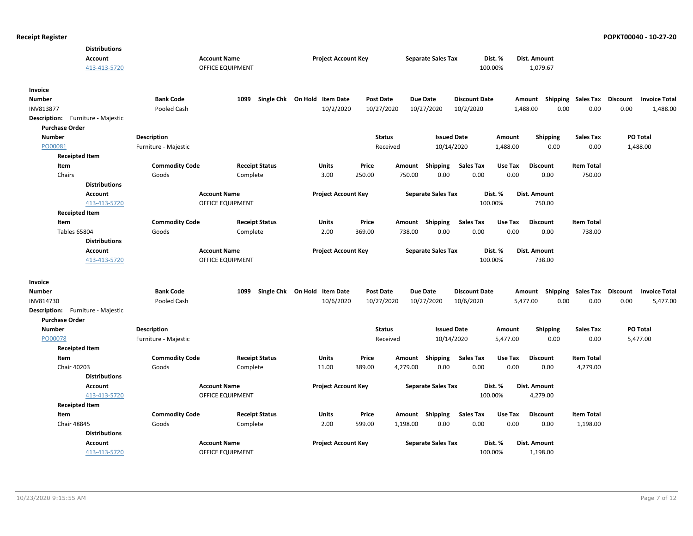| <b>Distributions</b><br>Account   |                                | <b>Account Name</b>               | <b>Project Account Key</b>   |                  |          | <b>Separate Sales Tax</b> |                          | Dist. %         | Dist. Amount              |                           |                 |                      |
|-----------------------------------|--------------------------------|-----------------------------------|------------------------------|------------------|----------|---------------------------|--------------------------|-----------------|---------------------------|---------------------------|-----------------|----------------------|
| 413-413-5720                      |                                | OFFICE EQUIPMENT                  |                              |                  |          |                           |                          | 100.00%         | 1,079.67                  |                           |                 |                      |
| Invoice                           |                                |                                   |                              |                  |          |                           |                          |                 |                           |                           |                 |                      |
| Number                            | <b>Bank Code</b>               | 1099                              | Single Chk On Hold Item Date | <b>Post Date</b> |          | <b>Due Date</b>           | <b>Discount Date</b>     |                 | Amount                    | <b>Shipping Sales Tax</b> | <b>Discount</b> | <b>Invoice Total</b> |
| INV813877                         | Pooled Cash                    |                                   | 10/2/2020                    | 10/27/2020       |          | 10/27/2020                | 10/2/2020                |                 | 0.00<br>1,488.00          | 0.00                      | 0.00            | 1,488.00             |
| Description: Furniture - Majestic |                                |                                   |                              |                  |          |                           |                          |                 |                           |                           |                 |                      |
| <b>Purchase Order</b>             |                                |                                   |                              |                  |          |                           |                          |                 |                           |                           |                 |                      |
| <b>Number</b>                     | <b>Description</b>             |                                   |                              | <b>Status</b>    |          | <b>Issued Date</b>        |                          | Amount          | <b>Shipping</b>           | <b>Sales Tax</b>          |                 | <b>PO Total</b>      |
| PO00081                           | Furniture - Majestic           |                                   |                              | Received         |          | 10/14/2020                |                          | 1,488.00        | 0.00                      | 0.00                      |                 | 1,488.00             |
| <b>Receipted Item</b>             |                                |                                   |                              |                  |          |                           |                          |                 |                           |                           |                 |                      |
| Item                              | <b>Commodity Code</b>          | <b>Receipt Status</b>             | <b>Units</b>                 | Price            | Amount   | Shipping                  | <b>Sales Tax</b>         | Use Tax         | <b>Discount</b>           | <b>Item Total</b>         |                 |                      |
| Chairs                            | Goods                          | Complete                          | 3.00                         | 250.00           | 750.00   | 0.00                      | 0.00                     | 0.00            | 0.00                      | 750.00                    |                 |                      |
| <b>Distributions</b>              |                                |                                   |                              |                  |          |                           |                          |                 |                           |                           |                 |                      |
| <b>Account</b>                    |                                | <b>Account Name</b>               | <b>Project Account Key</b>   |                  |          | <b>Separate Sales Tax</b> |                          | Dist. %         | Dist. Amount              |                           |                 |                      |
| 413-413-5720                      |                                | OFFICE EQUIPMENT                  |                              |                  |          |                           |                          | 100.00%         | 750.00                    |                           |                 |                      |
| <b>Receipted Item</b>             |                                |                                   |                              |                  |          |                           |                          |                 |                           |                           |                 |                      |
| Item                              | <b>Commodity Code</b>          | <b>Receipt Status</b>             | Units                        | Price            |          | Amount Shipping           | <b>Sales Tax</b>         | Use Tax         | <b>Discount</b>           | <b>Item Total</b>         |                 |                      |
| <b>Tables 65804</b>               | Goods                          | Complete                          | 2.00                         | 369.00           | 738.00   | 0.00                      | 0.00                     | 0.00            | 0.00                      | 738.00                    |                 |                      |
| <b>Distributions</b>              |                                |                                   |                              |                  |          |                           |                          |                 |                           |                           |                 |                      |
| <b>Account</b>                    |                                | <b>Account Name</b>               | <b>Project Account Key</b>   |                  |          | <b>Separate Sales Tax</b> |                          | Dist. %         | Dist. Amount              |                           |                 |                      |
| 413-413-5720                      |                                | <b>OFFICE EQUIPMENT</b>           |                              |                  |          |                           |                          | 100.00%         | 738.00                    |                           |                 |                      |
|                                   |                                |                                   |                              |                  |          |                           |                          |                 |                           |                           |                 |                      |
| Invoice                           |                                |                                   |                              |                  |          |                           |                          |                 |                           |                           |                 |                      |
| Number                            | <b>Bank Code</b>               | 1099                              | Single Chk On Hold Item Date | <b>Post Date</b> |          | <b>Due Date</b>           | <b>Discount Date</b>     |                 | Amount Shipping Sales Tax |                           | <b>Discount</b> | <b>Invoice Total</b> |
| INV814730                         | Pooled Cash                    |                                   | 10/6/2020                    | 10/27/2020       |          | 10/27/2020                | 10/6/2020                |                 | 0.00<br>5,477.00          | 0.00                      | 0.00            | 5,477.00             |
| Description: Furniture - Majestic |                                |                                   |                              |                  |          |                           |                          |                 |                           |                           |                 |                      |
| <b>Purchase Order</b>             |                                |                                   |                              |                  |          |                           |                          |                 |                           |                           |                 |                      |
| <b>Number</b>                     | <b>Description</b>             |                                   |                              | <b>Status</b>    |          | <b>Issued Date</b>        |                          | Amount          | <b>Shipping</b>           | <b>Sales Tax</b>          |                 | PO Total             |
| PO00078                           | Furniture - Majestic           |                                   |                              | Received         |          | 10/14/2020                |                          | 5,477.00        | 0.00                      | 0.00                      |                 | 5,477.00             |
| <b>Receipted Item</b>             |                                |                                   |                              |                  |          |                           |                          |                 |                           |                           |                 |                      |
| Item                              | <b>Commodity Code</b>          | <b>Receipt Status</b>             | <b>Units</b>                 | Price            | Amount   | Shipping                  | <b>Sales Tax</b>         | Use Tax         | <b>Discount</b>           | <b>Item Total</b>         |                 |                      |
| Chair 40203                       | Goods                          | Complete                          | 11.00                        | 389.00           | 4,279.00 | 0.00                      | 0.00                     | 0.00            | 0.00                      | 4,279.00                  |                 |                      |
| <b>Distributions</b>              |                                |                                   |                              |                  |          |                           |                          |                 |                           |                           |                 |                      |
| Account                           |                                | <b>Account Name</b>               | <b>Project Account Key</b>   |                  |          | <b>Separate Sales Tax</b> |                          | Dist. %         | Dist. Amount              |                           |                 |                      |
| 413-413-5720                      |                                | <b>OFFICE EQUIPMENT</b>           |                              |                  |          |                           |                          | 100.00%         | 4,279.00                  |                           |                 |                      |
| <b>Receipted Item</b>             |                                |                                   |                              |                  |          |                           |                          |                 |                           | <b>Item Total</b>         |                 |                      |
| Item<br>Chair 48845               | <b>Commodity Code</b><br>Goods | <b>Receipt Status</b><br>Complete | <b>Units</b><br>2.00         | Price<br>599.00  | 1,198.00 | Amount Shipping<br>0.00   | <b>Sales Tax</b><br>0.00 | Use Tax<br>0.00 | <b>Discount</b><br>0.00   | 1,198.00                  |                 |                      |
| <b>Distributions</b>              |                                |                                   |                              |                  |          |                           |                          |                 |                           |                           |                 |                      |
| <b>Account</b>                    |                                | <b>Account Name</b>               | <b>Project Account Key</b>   |                  |          | <b>Separate Sales Tax</b> |                          | Dist. %         | Dist. Amount              |                           |                 |                      |
| 413-413-5720                      |                                | OFFICE EQUIPMENT                  |                              |                  |          |                           |                          | 100.00%         | 1,198.00                  |                           |                 |                      |
|                                   |                                |                                   |                              |                  |          |                           |                          |                 |                           |                           |                 |                      |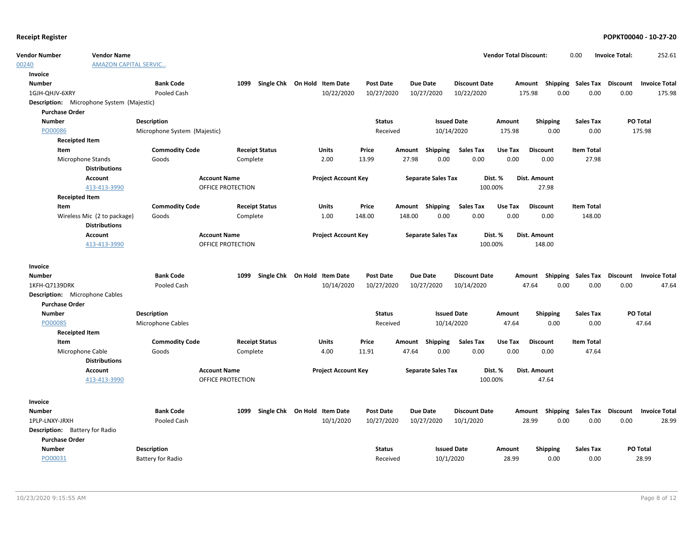| <b>Vendor Number</b>                  | <b>Vendor Name</b>                               |                              |                     |                              |                            |                  |        |                           |                      | <b>Vendor Total Discount:</b> |                                    | 0.00              | <b>Invoice Total:</b> | 252.61               |
|---------------------------------------|--------------------------------------------------|------------------------------|---------------------|------------------------------|----------------------------|------------------|--------|---------------------------|----------------------|-------------------------------|------------------------------------|-------------------|-----------------------|----------------------|
| 00240                                 | <b>AMAZON CAPITAL SERVIC</b>                     |                              |                     |                              |                            |                  |        |                           |                      |                               |                                    |                   |                       |                      |
| Invoice                               |                                                  |                              |                     |                              |                            |                  |        |                           |                      |                               |                                    |                   |                       |                      |
| <b>Number</b>                         |                                                  | <b>Bank Code</b>             | 1099                | Single Chk On Hold Item Date |                            | Post Date        |        | <b>Due Date</b>           | <b>Discount Date</b> |                               | Amount Shipping Sales Tax          |                   | <b>Discount</b>       | <b>Invoice Total</b> |
| 1GJH-QHJV-6XRY                        |                                                  | Pooled Cash                  |                     |                              | 10/22/2020                 | 10/27/2020       |        | 10/27/2020                | 10/22/2020           |                               | 175.98<br>0.00                     | 0.00              | 0.00                  | 175.98               |
|                                       | <b>Description:</b> Microphone System (Majestic) |                              |                     |                              |                            |                  |        |                           |                      |                               |                                    |                   |                       |                      |
| <b>Purchase Order</b>                 |                                                  |                              |                     |                              |                            |                  |        |                           |                      |                               |                                    |                   |                       |                      |
| <b>Number</b>                         |                                                  | <b>Description</b>           |                     |                              |                            | <b>Status</b>    |        |                           | <b>Issued Date</b>   | Amount                        | <b>Shipping</b>                    | <b>Sales Tax</b>  |                       | PO Total             |
| PO00086                               |                                                  | Microphone System (Majestic) |                     |                              |                            | Received         |        |                           | 10/14/2020           | 175.98                        | 0.00                               | 0.00              |                       | 175.98               |
| <b>Receipted Item</b>                 |                                                  |                              |                     |                              |                            |                  |        |                           |                      |                               |                                    |                   |                       |                      |
| Item                                  |                                                  | <b>Commodity Code</b>        |                     | <b>Receipt Status</b>        | Units                      | Price            |        | Amount Shipping           | Sales Tax            | Use Tax                       | <b>Discount</b>                    | <b>Item Total</b> |                       |                      |
|                                       | Microphone Stands                                | Goods                        | Complete            |                              | 2.00                       | 13.99            | 27.98  | 0.00                      | 0.00                 | 0.00                          | 0.00                               | 27.98             |                       |                      |
|                                       | <b>Distributions</b>                             |                              |                     |                              |                            |                  |        |                           |                      |                               |                                    |                   |                       |                      |
|                                       | <b>Account</b>                                   |                              | <b>Account Name</b> |                              | <b>Project Account Key</b> |                  |        | <b>Separate Sales Tax</b> |                      | Dist. %                       | <b>Dist. Amount</b>                |                   |                       |                      |
|                                       | 413-413-3990                                     |                              | OFFICE PROTECTION   |                              |                            |                  |        |                           | 100.00%              |                               | 27.98                              |                   |                       |                      |
| <b>Receipted Item</b>                 |                                                  |                              |                     |                              |                            |                  |        |                           |                      |                               |                                    |                   |                       |                      |
| Item                                  |                                                  | <b>Commodity Code</b>        |                     | <b>Receipt Status</b>        | <b>Units</b>               | Price            |        | Amount Shipping           | <b>Sales Tax</b>     | Use Tax                       | <b>Discount</b>                    | <b>Item Total</b> |                       |                      |
|                                       | Wireless Mic (2 to package)                      | Goods                        | Complete            |                              | 1.00                       | 148.00           | 148.00 | 0.00                      | 0.00                 | 0.00                          | 0.00                               | 148.00            |                       |                      |
|                                       | <b>Distributions</b>                             |                              |                     |                              |                            |                  |        |                           |                      |                               |                                    |                   |                       |                      |
|                                       | <b>Account</b>                                   |                              | <b>Account Name</b> |                              | <b>Project Account Key</b> |                  |        | <b>Separate Sales Tax</b> |                      | Dist. %                       | Dist. Amount                       |                   |                       |                      |
|                                       | 413-413-3990                                     |                              | OFFICE PROTECTION   |                              |                            |                  |        |                           | 100.00%              |                               | 148.00                             |                   |                       |                      |
| Invoice                               |                                                  |                              |                     |                              |                            |                  |        |                           |                      |                               |                                    |                   |                       |                      |
| <b>Number</b>                         |                                                  | <b>Bank Code</b>             | 1099                | Single Chk On Hold Item Date |                            | <b>Post Date</b> |        | <b>Due Date</b>           | <b>Discount Date</b> |                               | Amount Shipping Sales Tax          |                   | Discount              | <b>Invoice Total</b> |
| 1KFH-Q7139DRK                         |                                                  | Pooled Cash                  |                     |                              | 10/14/2020                 | 10/27/2020       |        | 10/27/2020                | 10/14/2020           |                               | 47.64<br>0.00                      | 0.00              | 0.00                  | 47.64                |
| <b>Description:</b> Microphone Cables |                                                  |                              |                     |                              |                            |                  |        |                           |                      |                               |                                    |                   |                       |                      |
| <b>Purchase Order</b>                 |                                                  |                              |                     |                              |                            |                  |        |                           |                      |                               |                                    |                   |                       |                      |
| <b>Number</b>                         |                                                  | Description                  |                     |                              |                            | <b>Status</b>    |        |                           | <b>Issued Date</b>   | Amount                        | <b>Shipping</b>                    | <b>Sales Tax</b>  |                       | <b>PO Total</b>      |
| PO00085                               |                                                  | Microphone Cables            |                     |                              |                            | Received         |        |                           | 10/14/2020           | 47.64                         | 0.00                               | 0.00              |                       | 47.64                |
| <b>Receipted Item</b>                 |                                                  |                              |                     |                              |                            |                  |        |                           |                      |                               |                                    |                   |                       |                      |
| Item                                  |                                                  | <b>Commodity Code</b>        |                     | <b>Receipt Status</b>        | Units                      | Price            |        | Amount Shipping           | <b>Sales Tax</b>     | Use Tax                       | <b>Discount</b>                    | <b>Item Total</b> |                       |                      |
|                                       | Microphone Cable                                 | Goods                        | Complete            |                              | 4.00                       | 11.91            | 47.64  | 0.00                      | 0.00                 | 0.00                          | 0.00                               | 47.64             |                       |                      |
|                                       | <b>Distributions</b>                             |                              |                     |                              |                            |                  |        |                           |                      |                               |                                    |                   |                       |                      |
|                                       | <b>Account</b>                                   |                              | <b>Account Name</b> |                              | <b>Project Account Key</b> |                  |        | <b>Separate Sales Tax</b> |                      | Dist. %                       | Dist. Amount                       |                   |                       |                      |
|                                       | 413-413-3990                                     |                              | OFFICE PROTECTION   |                              |                            |                  |        |                           | 100.00%              |                               | 47.64                              |                   |                       |                      |
| Invoice                               |                                                  |                              |                     |                              |                            |                  |        |                           |                      |                               |                                    |                   |                       |                      |
| <b>Number</b>                         |                                                  | <b>Bank Code</b>             | 1099                | Single Chk On Hold Item Date |                            | <b>Post Date</b> |        | <b>Due Date</b>           | <b>Discount Date</b> |                               | Amount Shipping Sales Tax Discount |                   |                       | <b>Invoice Total</b> |
| 1PLP-LNXY-JRXH                        |                                                  | Pooled Cash                  |                     |                              | 10/1/2020                  | 10/27/2020       |        | 10/27/2020                | 10/1/2020            |                               | 28.99<br>0.00                      | 0.00              | 0.00                  | 28.99                |
| <b>Description:</b> Battery for Radio |                                                  |                              |                     |                              |                            |                  |        |                           |                      |                               |                                    |                   |                       |                      |
| <b>Purchase Order</b>                 |                                                  |                              |                     |                              |                            |                  |        |                           |                      |                               |                                    |                   |                       |                      |
| <b>Number</b>                         |                                                  | Description                  |                     |                              |                            | <b>Status</b>    |        |                           | <b>Issued Date</b>   | Amount                        | <b>Shipping</b>                    | <b>Sales Tax</b>  |                       | <b>PO Total</b>      |
| PO00031                               |                                                  | Battery for Radio            |                     |                              |                            | Received         |        | 10/1/2020                 |                      | 28.99                         | 0.00                               | 0.00              |                       | 28.99                |
|                                       |                                                  |                              |                     |                              |                            |                  |        |                           |                      |                               |                                    |                   |                       |                      |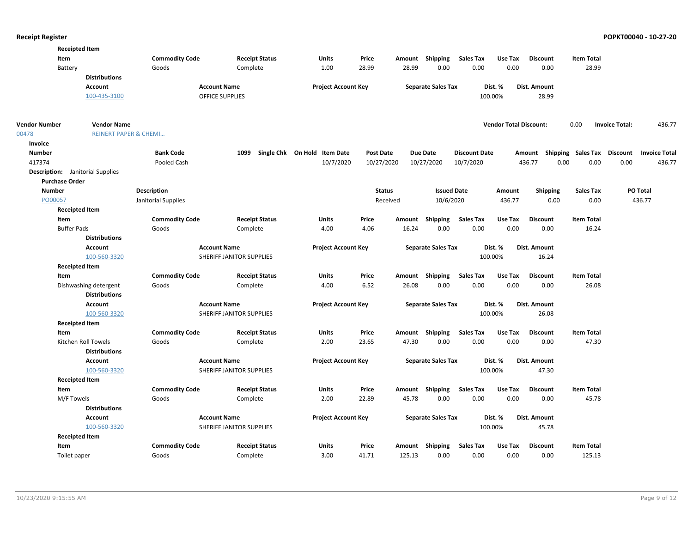| <b>Receipted Item</b>                   |                                  |                       |                          |                              |                  |          |                           |                      |                               |                           |                   |                                         |        |
|-----------------------------------------|----------------------------------|-----------------------|--------------------------|------------------------------|------------------|----------|---------------------------|----------------------|-------------------------------|---------------------------|-------------------|-----------------------------------------|--------|
| Item                                    |                                  | <b>Commodity Code</b> | <b>Receipt Status</b>    | <b>Units</b>                 | Price            |          | Amount Shipping           | <b>Sales Tax</b>     | Use Tax                       | <b>Discount</b>           | <b>Item Total</b> |                                         |        |
| Battery                                 |                                  | Goods                 | Complete                 | 1.00                         | 28.99            | 28.99    | 0.00                      | 0.00                 | 0.00                          | 0.00                      | 28.99             |                                         |        |
|                                         | <b>Distributions</b>             |                       |                          |                              |                  |          |                           |                      |                               |                           |                   |                                         |        |
|                                         | Account                          |                       | <b>Account Name</b>      | <b>Project Account Key</b>   |                  |          | <b>Separate Sales Tax</b> |                      | Dist. %                       | Dist. Amount              |                   |                                         |        |
|                                         | 100-435-3100                     |                       | <b>OFFICE SUPPLIES</b>   |                              |                  |          |                           | 100.00%              |                               | 28.99                     |                   |                                         |        |
| Vendor Number                           | <b>Vendor Name</b>               |                       |                          |                              |                  |          |                           |                      | <b>Vendor Total Discount:</b> |                           | 0.00              | <b>Invoice Total:</b>                   | 436.77 |
| 00478                                   | <b>REINERT PAPER &amp; CHEMI</b> |                       |                          |                              |                  |          |                           |                      |                               |                           |                   |                                         |        |
| Invoice                                 |                                  |                       |                          |                              |                  |          |                           |                      |                               |                           |                   |                                         |        |
| <b>Number</b>                           |                                  | <b>Bank Code</b>      | 1099                     | Single Chk On Hold Item Date | <b>Post Date</b> |          | <b>Due Date</b>           | <b>Discount Date</b> |                               | Amount Shipping Sales Tax |                   | <b>Discount</b><br><b>Invoice Total</b> |        |
| 417374                                  |                                  | Pooled Cash           |                          | 10/7/2020                    | 10/27/2020       |          | 10/27/2020                | 10/7/2020            |                               | 436.77<br>0.00            | 0.00              | 0.00                                    | 436.77 |
| <b>Description:</b> Janitorial Supplies |                                  |                       |                          |                              |                  |          |                           |                      |                               |                           |                   |                                         |        |
| <b>Purchase Order</b>                   |                                  |                       |                          |                              |                  |          |                           |                      |                               |                           |                   |                                         |        |
| <b>Number</b>                           |                                  | <b>Description</b>    |                          |                              | <b>Status</b>    |          | <b>Issued Date</b>        |                      | Amount                        | <b>Shipping</b>           | <b>Sales Tax</b>  | PO Total                                |        |
| PO00057                                 |                                  | Janitorial Supplies   |                          |                              |                  | Received | 10/6/2020                 |                      | 436.77                        | 0.00                      | 0.00              | 436.77                                  |        |
| <b>Receipted Item</b>                   |                                  |                       |                          |                              |                  |          |                           |                      |                               |                           |                   |                                         |        |
| Item                                    |                                  | <b>Commodity Code</b> | <b>Receipt Status</b>    | Units                        | Price            |          | Amount Shipping           | <b>Sales Tax</b>     | Use Tax                       | <b>Discount</b>           | <b>Item Total</b> |                                         |        |
| <b>Buffer Pads</b>                      |                                  | Goods                 | Complete                 | 4.00                         | 4.06             | 16.24    | 0.00                      | 0.00                 | 0.00                          | 0.00                      | 16.24             |                                         |        |
|                                         | <b>Distributions</b>             |                       |                          |                              |                  |          |                           |                      |                               |                           |                   |                                         |        |
|                                         | <b>Account</b>                   |                       | <b>Account Name</b>      | <b>Project Account Key</b>   |                  |          | <b>Separate Sales Tax</b> |                      | Dist. %                       | Dist. Amount              |                   |                                         |        |
|                                         | 100-560-3320                     |                       | SHERIFF JANITOR SUPPLIES |                              |                  |          |                           | 100.00%              |                               | 16.24                     |                   |                                         |        |
| <b>Receipted Item</b>                   |                                  |                       |                          |                              |                  |          |                           |                      |                               |                           |                   |                                         |        |
| Item                                    |                                  | <b>Commodity Code</b> | <b>Receipt Status</b>    | <b>Units</b>                 | Price            |          | Amount Shipping           | <b>Sales Tax</b>     | Use Tax                       | <b>Discount</b>           | <b>Item Total</b> |                                         |        |
|                                         | Dishwashing detergent            | Goods                 | Complete                 | 4.00                         | 6.52             | 26.08    | 0.00                      | 0.00                 | 0.00                          | 0.00                      | 26.08             |                                         |        |
|                                         | <b>Distributions</b>             |                       |                          |                              |                  |          |                           |                      |                               |                           |                   |                                         |        |
|                                         | <b>Account</b>                   |                       | <b>Account Name</b>      | <b>Project Account Key</b>   |                  |          | <b>Separate Sales Tax</b> |                      | Dist. %                       | Dist. Amount              |                   |                                         |        |
|                                         | 100-560-3320                     |                       | SHERIFF JANITOR SUPPLIES |                              |                  |          |                           | 100.00%              |                               | 26.08                     |                   |                                         |        |
| <b>Receipted Item</b>                   |                                  |                       |                          |                              |                  |          |                           |                      |                               |                           |                   |                                         |        |
| Item                                    |                                  | <b>Commodity Code</b> | <b>Receipt Status</b>    | <b>Units</b>                 | Price            |          | Amount Shipping           | Sales Tax            | Use Tax                       | <b>Discount</b>           | Item Total        |                                         |        |
|                                         | Kitchen Roll Towels              | Goods                 | Complete                 | 2.00                         | 23.65            | 47.30    | 0.00                      | 0.00                 | 0.00                          | 0.00                      | 47.30             |                                         |        |
|                                         | <b>Distributions</b>             |                       |                          |                              |                  |          |                           |                      |                               |                           |                   |                                         |        |
|                                         | <b>Account</b>                   |                       | <b>Account Name</b>      | <b>Project Account Key</b>   |                  |          | <b>Separate Sales Tax</b> |                      | Dist. %                       | Dist. Amount              |                   |                                         |        |
|                                         | 100-560-3320                     |                       | SHERIFF JANITOR SUPPLIES |                              |                  |          |                           | 100.00%              |                               | 47.30                     |                   |                                         |        |
| <b>Receipted Item</b>                   |                                  |                       |                          |                              |                  |          |                           |                      |                               |                           |                   |                                         |        |
| Item                                    |                                  | <b>Commodity Code</b> | <b>Receipt Status</b>    | <b>Units</b>                 | Price            |          | Amount Shipping           | <b>Sales Tax</b>     | Use Tax                       | <b>Discount</b>           | <b>Item Total</b> |                                         |        |
| M/F Towels                              |                                  | Goods                 | Complete                 | 2.00                         | 22.89            | 45.78    | 0.00                      | 0.00                 | 0.00                          | 0.00                      | 45.78             |                                         |        |
|                                         | <b>Distributions</b>             |                       |                          |                              |                  |          |                           |                      |                               |                           |                   |                                         |        |
|                                         | <b>Account</b>                   |                       | <b>Account Name</b>      | <b>Project Account Key</b>   |                  |          | <b>Separate Sales Tax</b> |                      | Dist. %                       | Dist. Amount              |                   |                                         |        |
|                                         | 100-560-3320                     |                       | SHERIFF JANITOR SUPPLIES |                              |                  |          |                           | 100.00%              |                               | 45.78                     |                   |                                         |        |
| <b>Receipted Item</b>                   |                                  |                       |                          |                              |                  |          |                           |                      |                               |                           |                   |                                         |        |
| Item                                    |                                  | <b>Commodity Code</b> | <b>Receipt Status</b>    | <b>Units</b>                 | Price            |          | Amount Shipping           | <b>Sales Tax</b>     | Use Tax                       | <b>Discount</b>           | <b>Item Total</b> |                                         |        |
| Toilet paper                            |                                  | Goods                 | Complete                 | 3.00                         | 41.71            | 125.13   | 0.00                      | 0.00                 | 0.00                          | 0.00                      | 125.13            |                                         |        |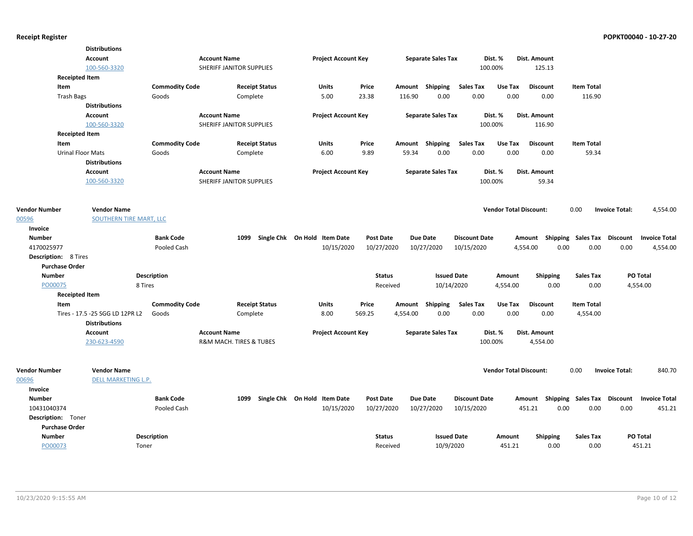|                             | <b>Distributions</b>            |                       |                          |                              |                            |                  |          |                           |                      |                               |                           |                   |                       |                      |
|-----------------------------|---------------------------------|-----------------------|--------------------------|------------------------------|----------------------------|------------------|----------|---------------------------|----------------------|-------------------------------|---------------------------|-------------------|-----------------------|----------------------|
|                             | Account                         |                       | <b>Account Name</b>      |                              | <b>Project Account Key</b> |                  |          | <b>Separate Sales Tax</b> |                      | Dist. %                       | Dist. Amount              |                   |                       |                      |
|                             | 100-560-3320                    |                       | SHERIFF JANITOR SUPPLIES |                              |                            |                  |          |                           |                      | 100.00%                       | 125.13                    |                   |                       |                      |
| <b>Receipted Item</b>       |                                 |                       |                          |                              |                            |                  |          |                           |                      |                               |                           |                   |                       |                      |
| Item                        |                                 | <b>Commodity Code</b> |                          | <b>Receipt Status</b>        | <b>Units</b>               | Price            |          | Amount Shipping           | <b>Sales Tax</b>     | Use Tax                       | <b>Discount</b>           | <b>Item Total</b> |                       |                      |
| <b>Trash Bags</b>           |                                 | Goods                 | Complete                 |                              | 5.00                       | 23.38            | 116.90   | 0.00                      | 0.00                 | 0.00                          | 0.00                      | 116.90            |                       |                      |
|                             | <b>Distributions</b>            |                       |                          |                              |                            |                  |          |                           |                      |                               |                           |                   |                       |                      |
|                             | Account                         |                       | <b>Account Name</b>      |                              | <b>Project Account Key</b> |                  |          | <b>Separate Sales Tax</b> |                      | Dist. %                       | Dist. Amount              |                   |                       |                      |
|                             | 100-560-3320                    |                       | SHERIFF JANITOR SUPPLIES |                              |                            |                  |          |                           |                      | 100.00%                       | 116.90                    |                   |                       |                      |
| <b>Receipted Item</b>       |                                 |                       |                          |                              |                            |                  |          |                           |                      |                               |                           |                   |                       |                      |
| Item                        |                                 | <b>Commodity Code</b> |                          | <b>Receipt Status</b>        | Units                      | Price            |          | Amount Shipping           | <b>Sales Tax</b>     | Use Tax                       | <b>Discount</b>           | <b>Item Total</b> |                       |                      |
| <b>Urinal Floor Mats</b>    |                                 | Goods                 | Complete                 |                              | 6.00                       | 9.89             | 59.34    | 0.00                      | 0.00                 | 0.00                          | 0.00                      | 59.34             |                       |                      |
|                             | <b>Distributions</b>            |                       |                          |                              |                            |                  |          |                           |                      |                               |                           |                   |                       |                      |
|                             | Account                         |                       | <b>Account Name</b>      |                              | <b>Project Account Key</b> |                  |          | <b>Separate Sales Tax</b> |                      | Dist. %                       | Dist. Amount              |                   |                       |                      |
|                             | 100-560-3320                    |                       | SHERIFF JANITOR SUPPLIES |                              |                            |                  |          |                           |                      | 100.00%                       | 59.34                     |                   |                       |                      |
|                             |                                 |                       |                          |                              |                            |                  |          |                           |                      |                               |                           |                   |                       |                      |
|                             |                                 |                       |                          |                              |                            |                  |          |                           |                      |                               |                           |                   |                       |                      |
| <b>Vendor Number</b>        | <b>Vendor Name</b>              |                       |                          |                              |                            |                  |          |                           |                      | <b>Vendor Total Discount:</b> |                           | 0.00              | <b>Invoice Total:</b> | 4,554.00             |
| 00596                       | SOUTHERN TIRE MART, LLC         |                       |                          |                              |                            |                  |          |                           |                      |                               |                           |                   |                       |                      |
| Invoice                     |                                 |                       |                          |                              |                            |                  |          |                           |                      |                               |                           |                   |                       |                      |
| <b>Number</b>               |                                 | <b>Bank Code</b>      | 1099                     | Single Chk On Hold Item Date |                            | <b>Post Date</b> |          | Due Date                  | <b>Discount Date</b> |                               | Amount Shipping Sales Tax |                   | <b>Discount</b>       | <b>Invoice Total</b> |
| 4170025977                  |                                 | Pooled Cash           |                          |                              | 10/15/2020                 | 10/27/2020       |          | 10/27/2020                | 10/15/2020           |                               | 4,554.00                  | 0.00<br>0.00      | 0.00                  | 4,554.00             |
| <b>Description: 8 Tires</b> |                                 |                       |                          |                              |                            |                  |          |                           |                      |                               |                           |                   |                       |                      |
| <b>Purchase Order</b>       |                                 |                       |                          |                              |                            |                  |          |                           |                      |                               |                           |                   |                       |                      |
| <b>Number</b>               |                                 | <b>Description</b>    |                          |                              |                            | <b>Status</b>    |          | <b>Issued Date</b>        |                      | Amount                        | Shipping                  | <b>Sales Tax</b>  | PO Total              |                      |
| PO00075                     | 8 Tires                         |                       |                          |                              |                            | Received         |          | 10/14/2020                |                      | 4,554.00                      | 0.00                      | 0.00              | 4,554.00              |                      |
| <b>Receipted Item</b>       |                                 |                       |                          |                              |                            |                  |          |                           |                      |                               |                           |                   |                       |                      |
| Item                        |                                 | <b>Commodity Code</b> |                          | <b>Receipt Status</b>        | <b>Units</b>               | Price            |          | Amount Shipping           | <b>Sales Tax</b>     | Use Tax                       | <b>Discount</b>           | <b>Item Total</b> |                       |                      |
|                             | Tires - 17.5 -25 SGG LD 12PR L2 | Goods                 | Complete                 |                              | 8.00                       | 569.25           | 4,554.00 | 0.00                      | 0.00                 | 0.00                          | 0.00                      | 4,554.00          |                       |                      |
|                             | <b>Distributions</b>            |                       |                          |                              |                            |                  |          |                           |                      |                               |                           |                   |                       |                      |
|                             | <b>Account</b>                  |                       | <b>Account Name</b>      |                              | <b>Project Account Key</b> |                  |          | <b>Separate Sales Tax</b> |                      | Dist. %                       | Dist. Amount              |                   |                       |                      |
|                             | 230-623-4590                    |                       | R&M MACH. TIRES & TUBES  |                              |                            |                  |          |                           |                      | 100.00%                       | 4,554.00                  |                   |                       |                      |
|                             |                                 |                       |                          |                              |                            |                  |          |                           |                      |                               |                           |                   |                       |                      |
|                             |                                 |                       |                          |                              |                            |                  |          |                           |                      |                               |                           |                   |                       |                      |
| <b>Vendor Number</b>        | <b>Vendor Name</b>              |                       |                          |                              |                            |                  |          |                           |                      | <b>Vendor Total Discount:</b> |                           | 0.00              | <b>Invoice Total:</b> | 840.70               |
| 00696                       | <b>DELL MARKETING L.P.</b>      |                       |                          |                              |                            |                  |          |                           |                      |                               |                           |                   |                       |                      |
| Invoice                     |                                 |                       |                          |                              |                            |                  |          |                           |                      |                               |                           |                   |                       |                      |
| <b>Number</b>               |                                 | <b>Bank Code</b>      | 1099                     | Single Chk On Hold Item Date |                            | <b>Post Date</b> |          | <b>Due Date</b>           | <b>Discount Date</b> |                               | Amount Shipping Sales Tax |                   | Discount              | <b>Invoice Total</b> |
| 10431040374                 |                                 | Pooled Cash           |                          |                              | 10/15/2020                 | 10/27/2020       |          | 10/27/2020                | 10/15/2020           |                               | 451.21<br>0.00            | 0.00              | 0.00                  | 451.21               |
| Description: Toner          |                                 |                       |                          |                              |                            |                  |          |                           |                      |                               |                           |                   |                       |                      |
| <b>Purchase Order</b>       |                                 |                       |                          |                              |                            |                  |          |                           |                      |                               |                           |                   |                       |                      |
| <b>Number</b>               |                                 | Description           |                          |                              |                            | <b>Status</b>    |          | <b>Issued Date</b>        |                      | Amount                        | <b>Shipping</b>           | <b>Sales Tax</b>  | <b>PO Total</b>       |                      |
| PO00073                     | Toner                           |                       |                          |                              |                            | Received         |          | 10/9/2020                 |                      | 451.21                        | 0.00                      | 0.00              |                       | 451.21               |
|                             |                                 |                       |                          |                              |                            |                  |          |                           |                      |                               |                           |                   |                       |                      |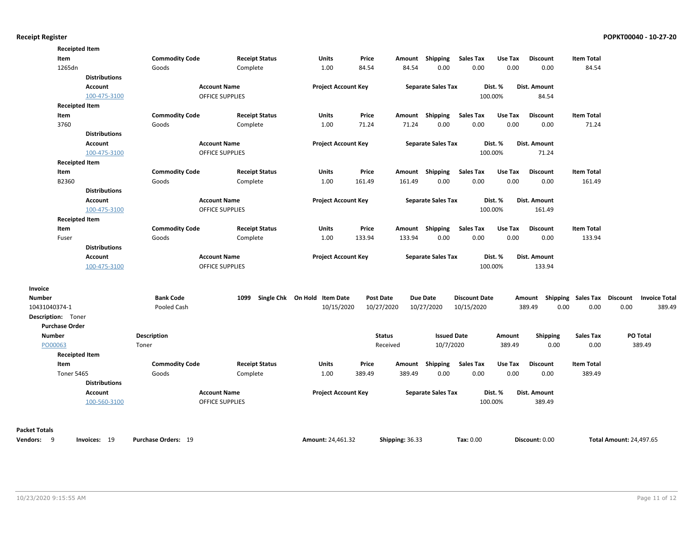|                       | <b>Receipted Item</b> |                       |                        |                              |                  |                 |                           |                      |         |                                    |                   |                                |                      |
|-----------------------|-----------------------|-----------------------|------------------------|------------------------------|------------------|-----------------|---------------------------|----------------------|---------|------------------------------------|-------------------|--------------------------------|----------------------|
| Item                  |                       | <b>Commodity Code</b> | <b>Receipt Status</b>  | Units                        | Price            |                 | Amount Shipping           | <b>Sales Tax</b>     | Use Tax | <b>Discount</b>                    | <b>Item Total</b> |                                |                      |
| 1265dn                |                       | Goods                 | Complete               | 1.00                         | 84.54            | 84.54           | 0.00                      | 0.00                 | 0.00    | 0.00                               | 84.54             |                                |                      |
|                       | <b>Distributions</b>  |                       |                        |                              |                  |                 |                           |                      |         |                                    |                   |                                |                      |
|                       | Account               |                       | <b>Account Name</b>    | <b>Project Account Key</b>   |                  |                 | <b>Separate Sales Tax</b> |                      | Dist. % | Dist. Amount                       |                   |                                |                      |
|                       | 100-475-3100          |                       | <b>OFFICE SUPPLIES</b> |                              |                  |                 |                           |                      | 100.00% | 84.54                              |                   |                                |                      |
|                       | <b>Receipted Item</b> |                       |                        |                              |                  |                 |                           |                      |         |                                    |                   |                                |                      |
| Item                  |                       | <b>Commodity Code</b> | <b>Receipt Status</b>  | Units                        | Price            |                 | Amount Shipping           | <b>Sales Tax</b>     | Use Tax | <b>Discount</b>                    | <b>Item Total</b> |                                |                      |
| 3760                  |                       | Goods                 | Complete               | 1.00                         | 71.24            | 71.24           | 0.00                      | 0.00                 | 0.00    | 0.00                               | 71.24             |                                |                      |
|                       | <b>Distributions</b>  |                       |                        |                              |                  |                 |                           |                      |         |                                    |                   |                                |                      |
|                       | Account               |                       | <b>Account Name</b>    | <b>Project Account Key</b>   |                  |                 | <b>Separate Sales Tax</b> |                      | Dist. % | Dist. Amount                       |                   |                                |                      |
|                       | 100-475-3100          |                       | <b>OFFICE SUPPLIES</b> |                              |                  |                 |                           |                      | 100.00% | 71.24                              |                   |                                |                      |
|                       | <b>Receipted Item</b> |                       |                        |                              |                  |                 |                           |                      |         |                                    |                   |                                |                      |
| Item                  |                       | <b>Commodity Code</b> | <b>Receipt Status</b>  | Units                        | Price            |                 | Amount Shipping           | Sales Tax            | Use Tax | <b>Discount</b>                    | <b>Item Total</b> |                                |                      |
| B2360                 |                       | Goods                 | Complete               | 1.00                         | 161.49           | 161.49          | 0.00                      | 0.00                 | 0.00    | 0.00                               | 161.49            |                                |                      |
|                       | <b>Distributions</b>  |                       |                        |                              |                  |                 |                           |                      |         |                                    |                   |                                |                      |
|                       | Account               |                       | <b>Account Name</b>    | <b>Project Account Key</b>   |                  |                 | <b>Separate Sales Tax</b> |                      | Dist. % | Dist. Amount                       |                   |                                |                      |
|                       | 100-475-3100          |                       | <b>OFFICE SUPPLIES</b> |                              |                  |                 |                           |                      | 100.00% | 161.49                             |                   |                                |                      |
|                       | <b>Receipted Item</b> |                       |                        |                              |                  |                 |                           |                      |         |                                    |                   |                                |                      |
| Item                  |                       | <b>Commodity Code</b> | <b>Receipt Status</b>  | Units                        | Price            |                 | Amount Shipping           | <b>Sales Tax</b>     | Use Tax | <b>Discount</b>                    | <b>Item Total</b> |                                |                      |
| Fuser                 |                       | Goods                 | Complete               | 1.00                         | 133.94           | 133.94          | 0.00                      | 0.00                 | 0.00    | 0.00                               | 133.94            |                                |                      |
|                       | <b>Distributions</b>  |                       |                        |                              |                  |                 |                           |                      |         |                                    |                   |                                |                      |
|                       | Account               |                       | <b>Account Name</b>    | <b>Project Account Key</b>   |                  |                 | <b>Separate Sales Tax</b> |                      | Dist. % | Dist. Amount                       |                   |                                |                      |
|                       | 100-475-3100          |                       | <b>OFFICE SUPPLIES</b> |                              |                  |                 |                           |                      | 100.00% | 133.94                             |                   |                                |                      |
|                       |                       |                       |                        |                              |                  |                 |                           |                      |         |                                    |                   |                                |                      |
| Invoice               |                       |                       |                        |                              |                  |                 |                           |                      |         |                                    |                   |                                |                      |
| <b>Number</b>         |                       | <b>Bank Code</b>      | 1099                   | Single Chk On Hold Item Date | <b>Post Date</b> |                 | <b>Due Date</b>           | <b>Discount Date</b> |         | Amount Shipping Sales Tax Discount |                   |                                | <b>Invoice Total</b> |
| 10431040374-1         |                       | Pooled Cash           |                        | 10/15/2020                   | 10/27/2020       |                 | 10/27/2020                | 10/15/2020           |         | 389.49<br>0.00                     | 0.00              | 0.00                           | 389.49               |
| Description: Toner    |                       |                       |                        |                              |                  |                 |                           |                      |         |                                    |                   |                                |                      |
| <b>Purchase Order</b> |                       |                       |                        |                              |                  |                 |                           |                      |         |                                    |                   |                                |                      |
| <b>Number</b>         |                       | Description           |                        |                              | <b>Status</b>    |                 | <b>Issued Date</b>        |                      | Amount  | <b>Shipping</b>                    | <b>Sales Tax</b>  |                                | PO Total             |
| PO00063               |                       | Toner                 |                        |                              | Received         |                 | 10/7/2020                 |                      | 389.49  | 0.00                               | 0.00              |                                | 389.49               |
|                       | <b>Receipted Item</b> |                       |                        |                              |                  |                 |                           |                      |         |                                    |                   |                                |                      |
| Item                  |                       | <b>Commodity Code</b> | <b>Receipt Status</b>  | Units                        | Price            |                 | Amount Shipping           | <b>Sales Tax</b>     | Use Tax | <b>Discount</b>                    | <b>Item Total</b> |                                |                      |
| <b>Toner 5465</b>     |                       | Goods                 | Complete               | 1.00                         | 389.49           | 389.49          | 0.00                      | 0.00                 | 0.00    | 0.00                               | 389.49            |                                |                      |
|                       | <b>Distributions</b>  |                       |                        |                              |                  |                 |                           |                      |         |                                    |                   |                                |                      |
|                       | Account               |                       | <b>Account Name</b>    | <b>Project Account Key</b>   |                  |                 | <b>Separate Sales Tax</b> |                      | Dist. % | Dist. Amount                       |                   |                                |                      |
|                       | 100-560-3100          |                       | OFFICE SUPPLIES        |                              |                  |                 |                           |                      | 100.00% | 389.49                             |                   |                                |                      |
|                       |                       |                       |                        |                              |                  |                 |                           |                      |         |                                    |                   |                                |                      |
| <b>Packet Totals</b>  |                       |                       |                        |                              |                  |                 |                           |                      |         |                                    |                   |                                |                      |
| Vendors: 9            | Invoices: 19          | Purchase Orders: 19   |                        | <b>Amount: 24.461.32</b>     |                  | Shipping: 36.33 |                           | Tax: 0.00            |         | Discount: 0.00                     |                   | <b>Total Amount: 24.497.65</b> |                      |